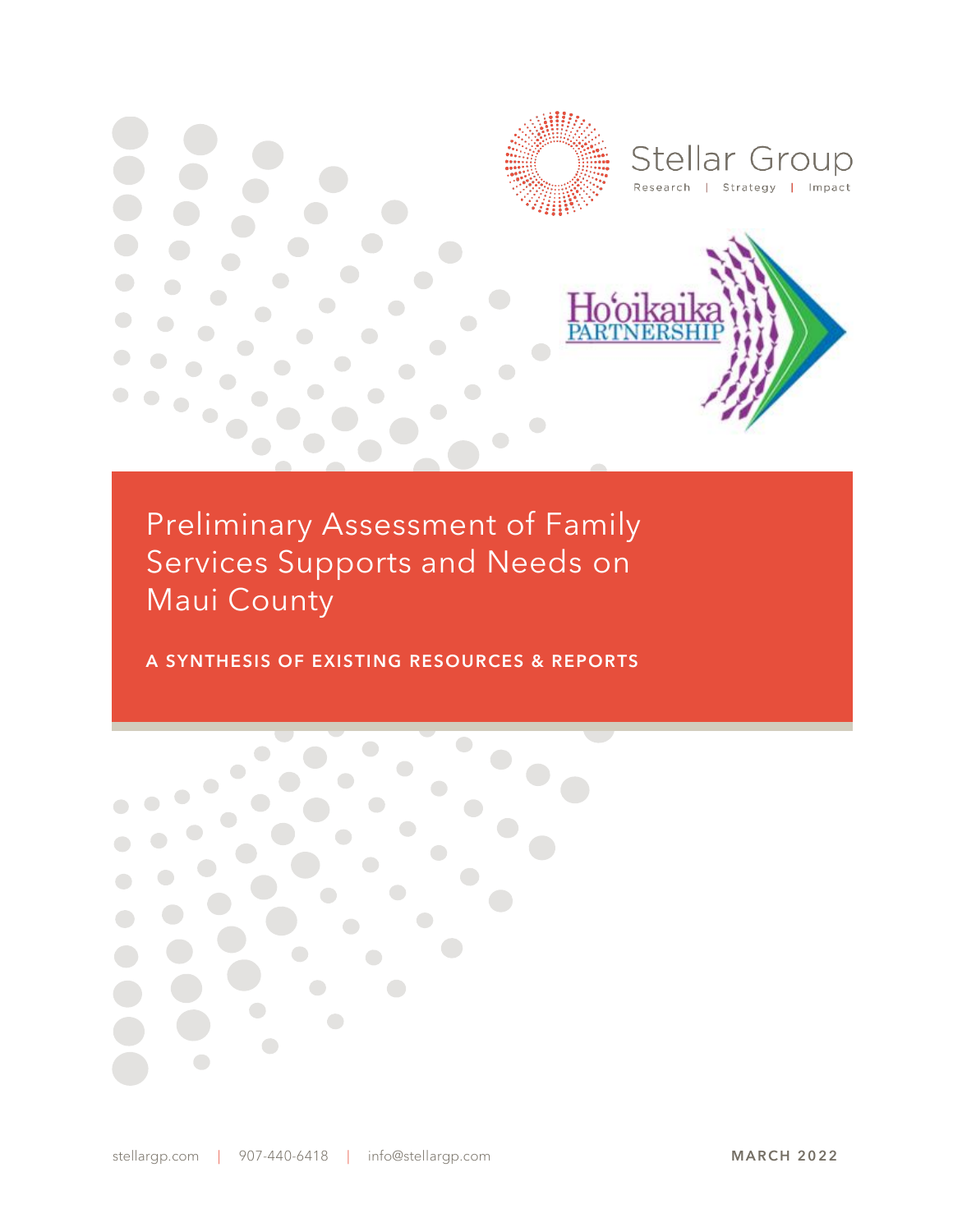

Preliminary Assessment of Family Services Supports and Needs on Maui County

A SYNTHESIS OF EXISTING RESOURCES & REPORTS

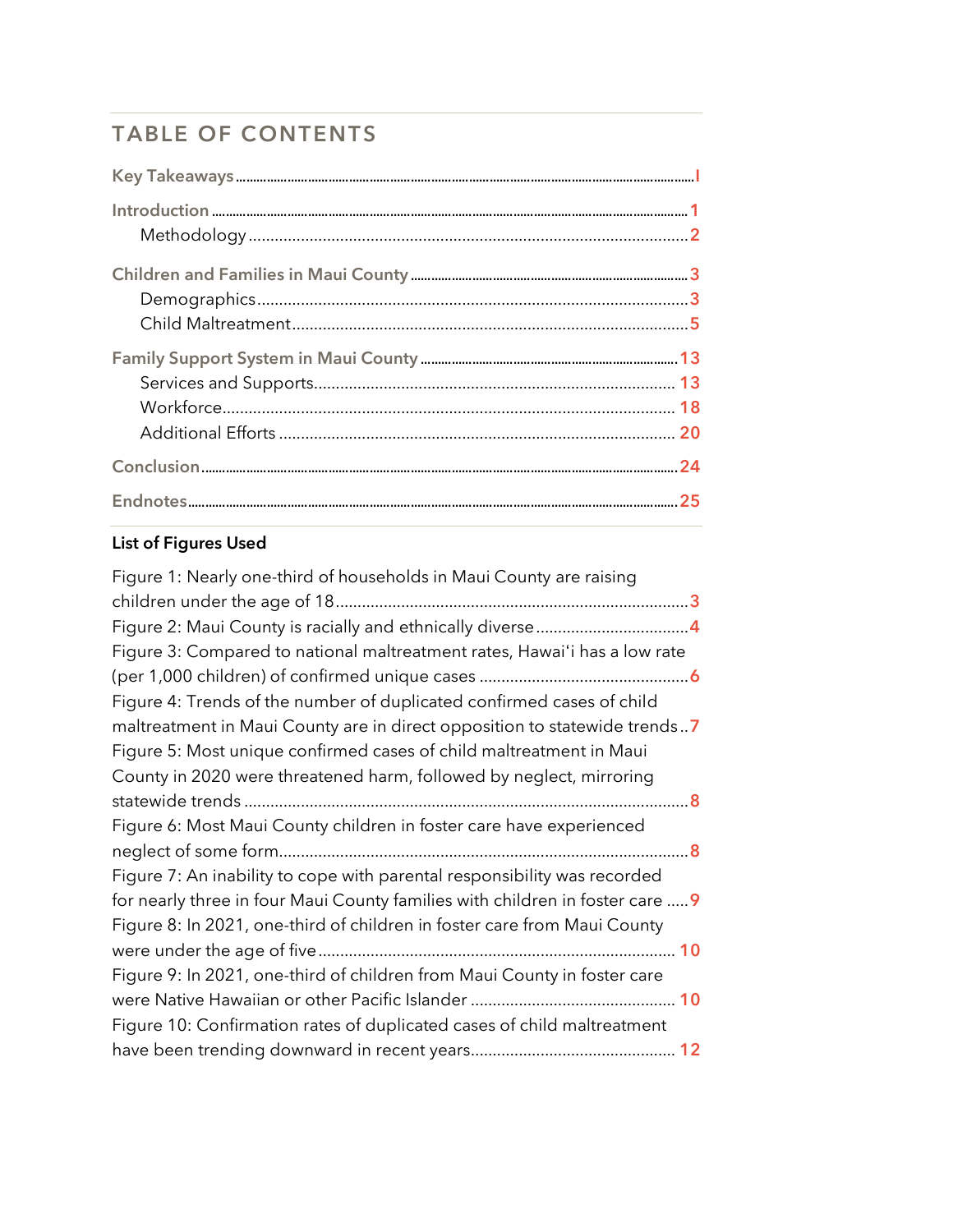# TABLE OF CONTENTS

# List of Figures Used

| Figure 1: Nearly one-third of households in Maui County are raising           |
|-------------------------------------------------------------------------------|
|                                                                               |
|                                                                               |
| Figure 3: Compared to national maltreatment rates, Hawai'i has a low rate     |
|                                                                               |
| Figure 4: Trends of the number of duplicated confirmed cases of child         |
| maltreatment in Maui County are in direct opposition to statewide trends7     |
| Figure 5: Most unique confirmed cases of child maltreatment in Maui           |
| County in 2020 were threatened harm, followed by neglect, mirroring           |
|                                                                               |
| Figure 6: Most Maui County children in foster care have experienced           |
|                                                                               |
| Figure 7: An inability to cope with parental responsibility was recorded      |
| for nearly three in four Maui County families with children in foster care  9 |
| Figure 8: In 2021, one-third of children in foster care from Maui County      |
|                                                                               |
| Figure 9: In 2021, one-third of children from Maui County in foster care      |
|                                                                               |
| Figure 10: Confirmation rates of duplicated cases of child maltreatment       |
|                                                                               |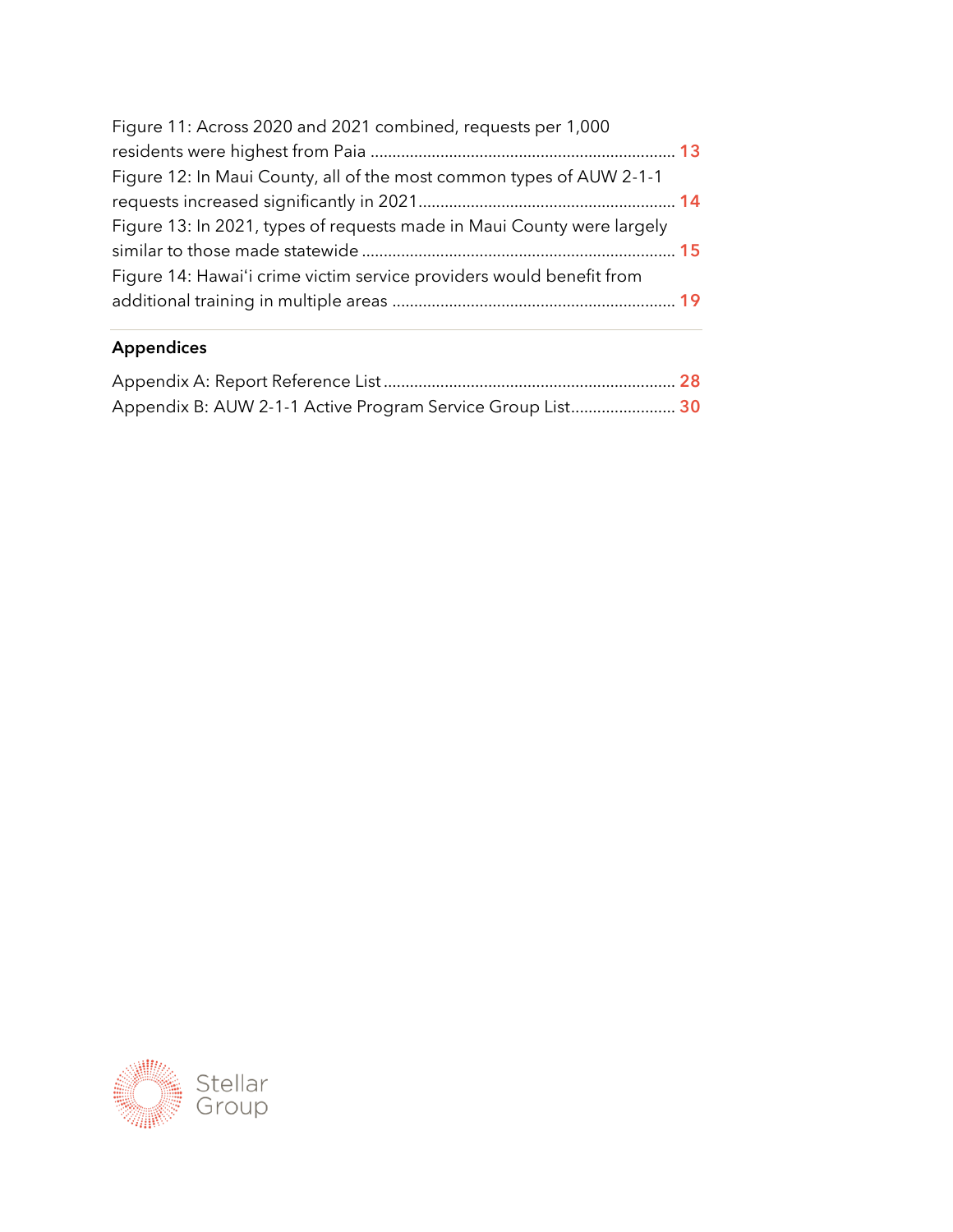| Figure 11: Across 2020 and 2021 combined, requests per 1,000           |  |
|------------------------------------------------------------------------|--|
|                                                                        |  |
| Figure 12: In Maui County, all of the most common types of AUW 2-1-1   |  |
|                                                                        |  |
| Figure 13: In 2021, types of requests made in Maui County were largely |  |
|                                                                        |  |
| Figure 14: Hawai'i crime victim service providers would benefit from   |  |
|                                                                        |  |
|                                                                        |  |

# Appendices

| Appendix B: AUW 2-1-1 Active Program Service Group List 30 |  |
|------------------------------------------------------------|--|

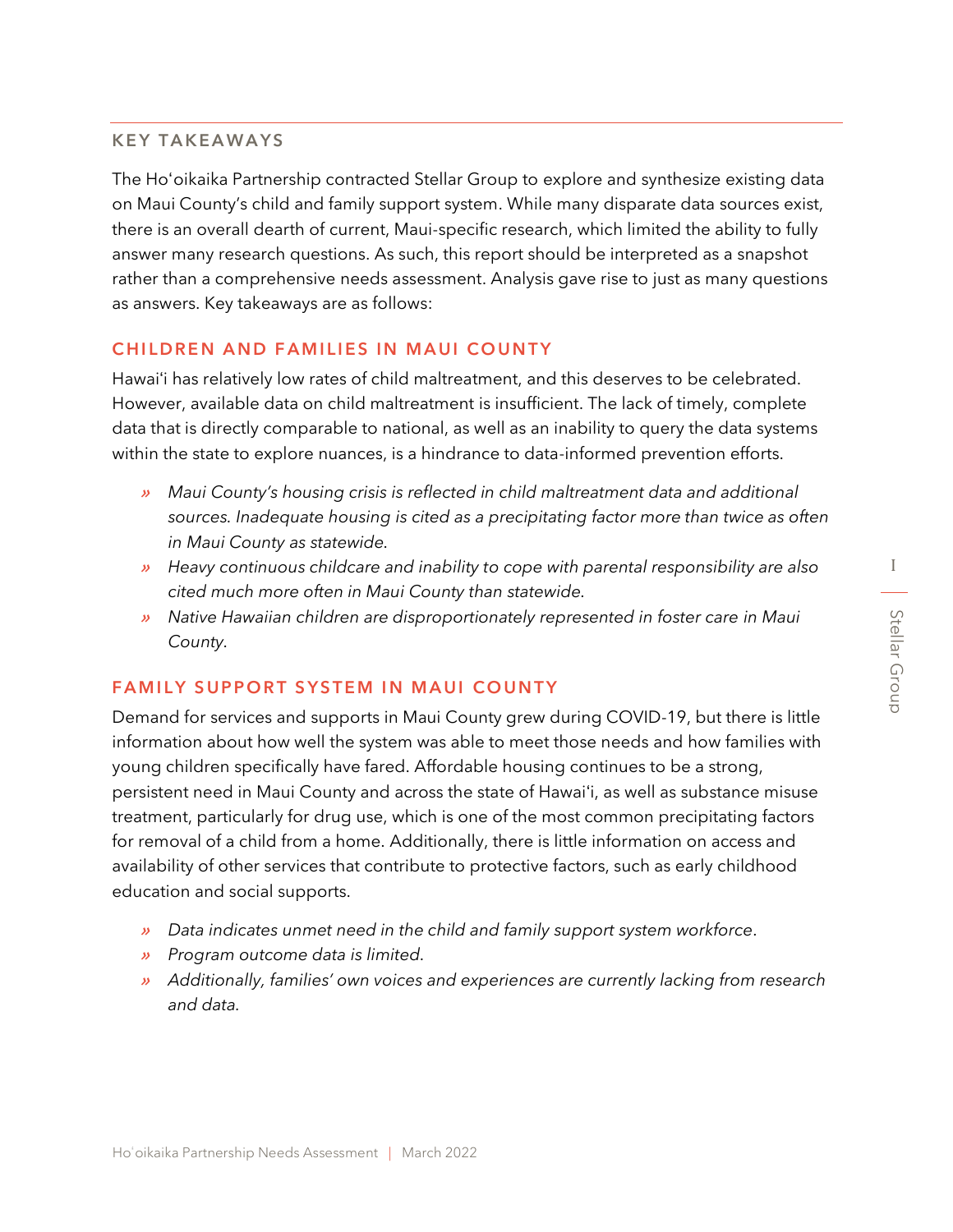I

#### KEY TAKEAWAYS

The Hoʻoikaika Partnership contracted Stellar Group to explore and synthesize existing data on Maui County's child and family support system. While many disparate data sources exist, there is an overall dearth of current, Maui-specific research, which limited the ability to fully answer many research questions. As such, this report should be interpreted as a snapshot rather than a comprehensive needs assessment. Analysis gave rise to just as many questions as answers. Key takeaways are as follows:

#### CHILDREN AND FAMILIES IN MAUI COUNTY

Hawaiʻi has relatively low rates of child maltreatment, and this deserves to be celebrated. However, available data on child maltreatment is insufficient. The lack of timely, complete data that is directly comparable to national, as well as an inability to query the data systems within the state to explore nuances, is a hindrance to data-informed prevention efforts.

- » *Maui County's housing crisis is reflected in child maltreatment data and additional sources. Inadequate housing is cited as a precipitating factor more than twice as often in Maui County as statewide.*
- » *Heavy continuous childcare and inability to cope with parental responsibility are also cited much more often in Maui County than statewide.*
- » *Native Hawaiian children are disproportionately represented in foster care in Maui County.*

#### FAMILY SUPPORT SYSTEM IN MAUI COUNTY

Demand for services and supports in Maui County grew during COVID-19, but there is little information about how well the system was able to meet those needs and how families with young children specifically have fared. Affordable housing continues to be a strong, persistent need in Maui County and across the state of Hawaiʻi, as well as substance misuse treatment, particularly for drug use, which is one of the most common precipitating factors for removal of a child from a home. Additionally, there is little information on access and availability of other services that contribute to protective factors, such as early childhood education and social supports.

- » *Data indicates unmet need in the child and family support system workforce.*
- » *Program outcome data is limited.*
- » *Additionally, families' own voices and experiences are currently lacking from research and data.*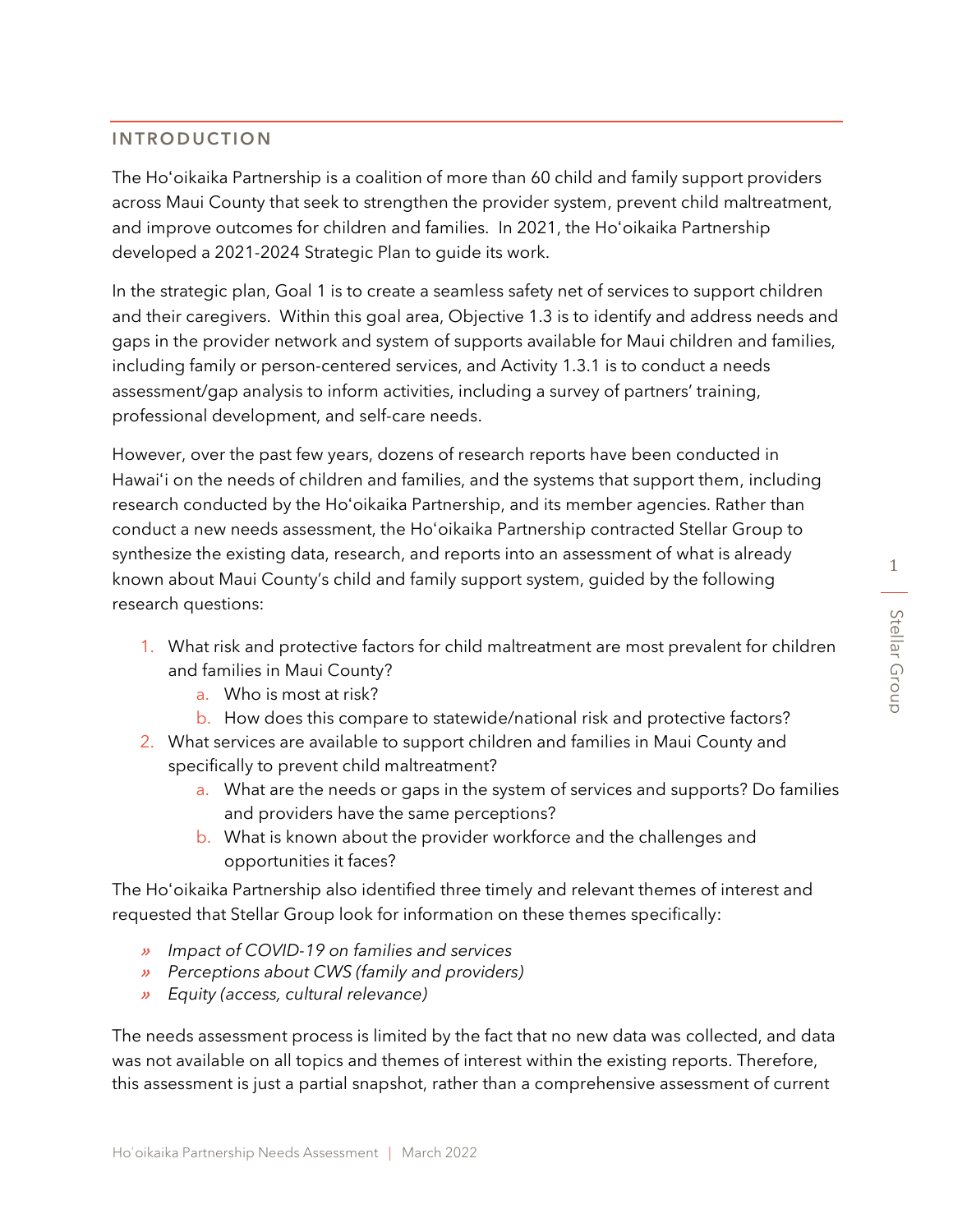The Hoʻoikaika Partnership is a coalition of more than 60 child and family support providers across Maui County that seek to strengthen the provider system, prevent child maltreatment, and improve outcomes for children and families. In 2021, the Hoʻoikaika Partnership developed a 2021-2024 Strategic Plan to guide its work.

In the strategic plan, Goal 1 is to create a seamless safety net of services to support children and their caregivers. Within this goal area, Objective 1.3 is to identify and address needs and gaps in the provider network and system of supports available for Maui children and families, including family or person-centered services, and Activity 1.3.1 is to conduct a needs assessment/gap analysis to inform activities, including a survey of partners' training, professional development, and self-care needs.

However, over the past few years, dozens of research reports have been conducted in Hawaiʻi on the needs of children and families, and the systems that support them, including research conducted by the Hoʻoikaika Partnership, and its member agencies. Rather than conduct a new needs assessment, the Hoʻoikaika Partnership contracted Stellar Group to synthesize the existing data, research, and reports into an assessment of what is already known about Maui County's child and family support system, guided by the following research questions:

- 1. What risk and protective factors for child maltreatment are most prevalent for children and families in Maui County?
	- a. Who is most at risk?
	- b. How does this compare to statewide/national risk and protective factors?
- 2. What services are available to support children and families in Maui County and specifically to prevent child maltreatment?
	- a. What are the needs or gaps in the system of services and supports? Do families and providers have the same perceptions?
	- b. What is known about the provider workforce and the challenges and opportunities it faces?

The Hoʻoikaika Partnership also identified three timely and relevant themes of interest and requested that Stellar Group look for information on these themes specifically:

- » *Impact of COVID-19 on families and services*
- » *Perceptions about CWS (family and providers)*
- » *Equity (access, cultural relevance)*

The needs assessment process is limited by the fact that no new data was collected, and data was not available on all topics and themes of interest within the existing reports. Therefore, this assessment is just a partial snapshot, rather than a comprehensive assessment of current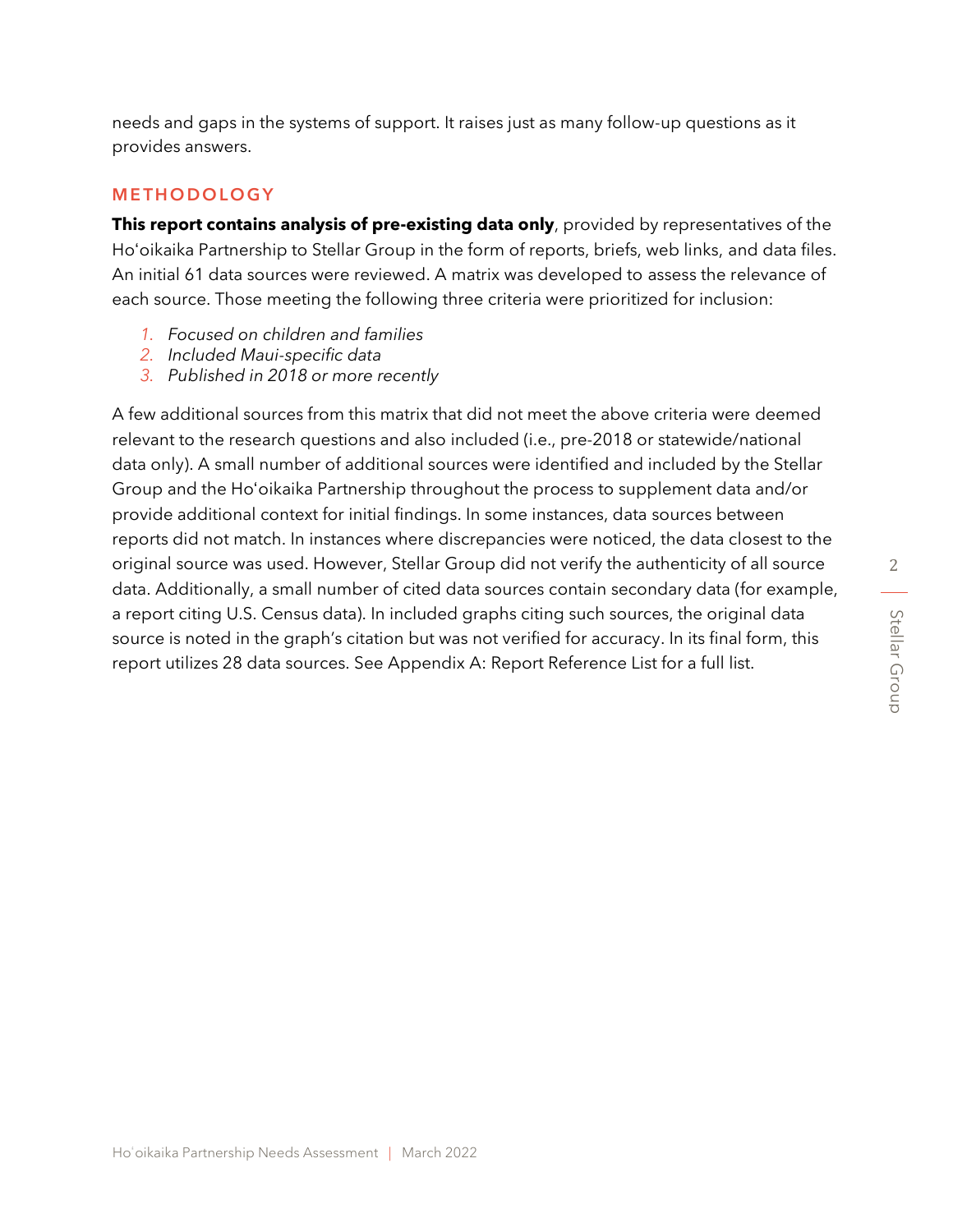needs and gaps in the systems of support. It raises just as many follow-up questions as it provides answers.

#### **METHODOLOGY**

**This report contains analysis of pre-existing data only**, provided by representatives of the Hoʻoikaika Partnership to Stellar Group in the form of reports, briefs, web links, and data files. An initial 61 data sources were reviewed. A matrix was developed to assess the relevance of each source. Those meeting the following three criteria were prioritized for inclusion:

- *1. Focused on children and families*
- *2. Included Maui-specific data*
- *3. Published in 2018 or more recently*

A few additional sources from this matrix that did not meet the above criteria were deemed relevant to the research questions and also included (i.e., pre-2018 or statewide/national data only). A small number of additional sources were identified and included by the Stellar Group and the Hoʻoikaika Partnership throughout the process to supplement data and/or provide additional context for initial findings. In some instances, data sources between reports did not match. In instances where discrepancies were noticed, the data closest to the original source was used. However, Stellar Group did not verify the authenticity of all source data. Additionally, a small number of cited data sources contain secondary data (for example, a report citing U.S. Census data). In included graphs citing such sources, the original data source is noted in the graph's citation but was not verified for accuracy. In its final form, this report utilizes 28 data sources. See Appendix A: Report Reference List for a full list.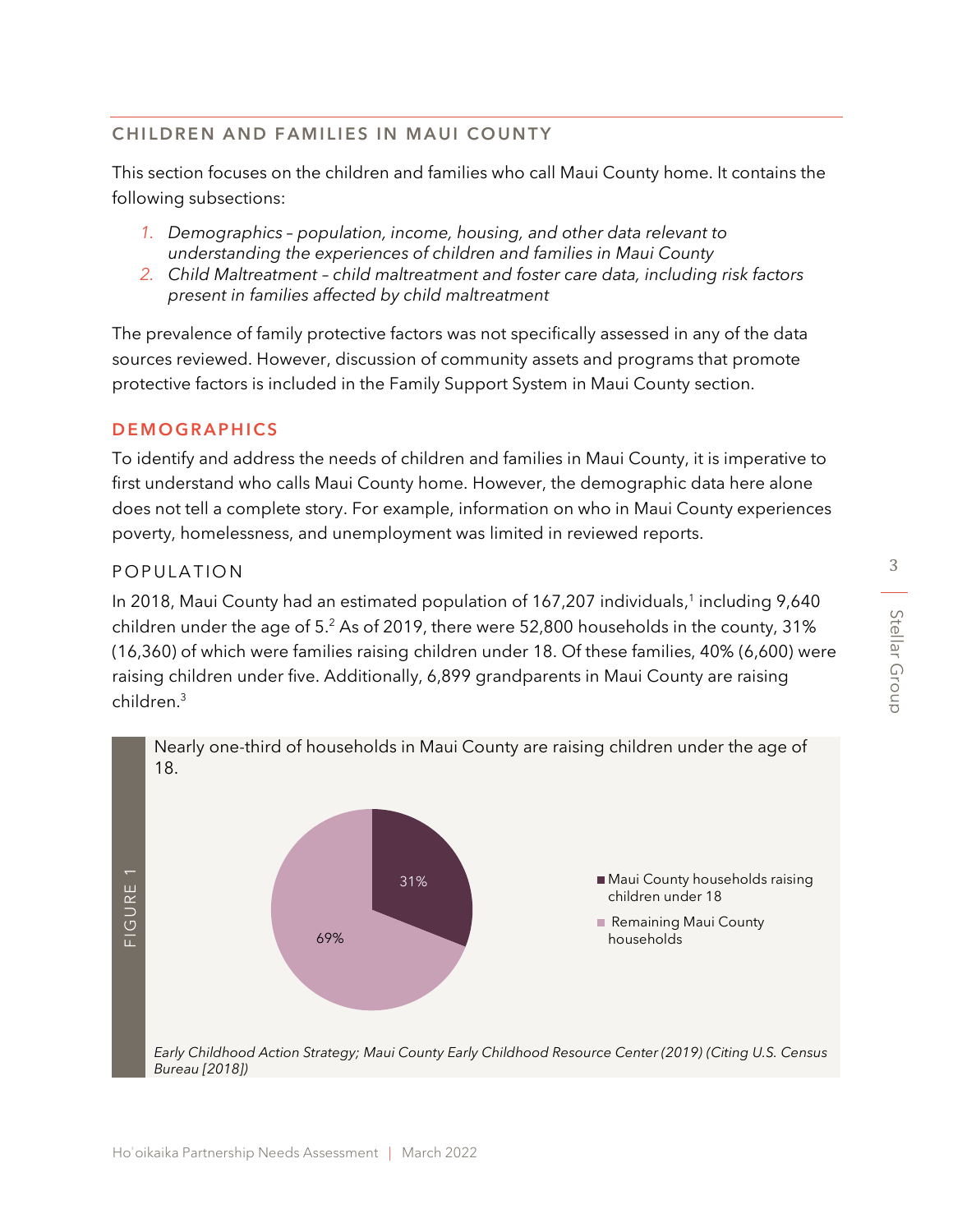## CHILDREN AND FAMILIES IN MAUI COUNTY

This section focuses on the children and families who call Maui County home. It contains the following subsections:

- *1. Demographics – population, income, housing, and other data relevant to understanding the experiences of children and families in Maui County*
- *2. Child Maltreatment – child maltreatment and foster care data, including risk factors present in families affected by child maltreatment*

The prevalence of family protective factors was not specifically assessed in any of the data sources reviewed. However, discussion of community assets and programs that promote protective factors is included in the Family Support System in Maui County section.

#### **DEMOGRAPHICS**

To identify and address the needs of children and families in Maui County, it is imperative to first understand who calls Maui County home. However, the demographic data here alone does not tell a complete story. For example, information on who in Maui County experiences poverty, homelessness, and unemployment was limited in reviewed reports.

#### P O P U LATION

In 2018, Maui County had an estimated population of 167,207 individuals,<sup>1</sup> including 9,640 children under the age of 5. <sup>2</sup> As of 2019, there were 52,800 households in the county, 31% (16,360) of which were families raising children under 18. Of these families, 40% (6,600) were raising children under five. Additionally, 6,899 grandparents in Maui County are raising children.<sup>3</sup>

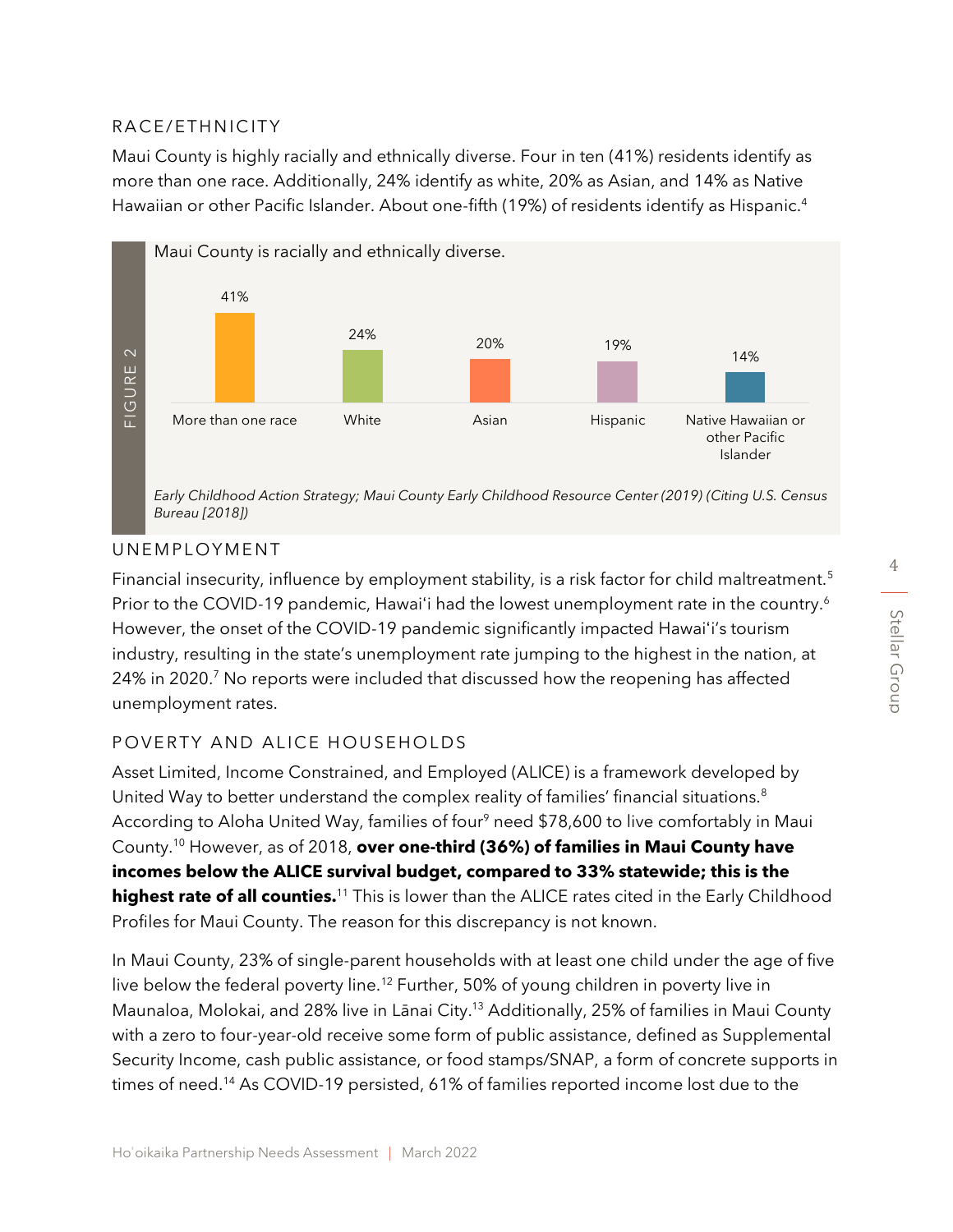# RACE/ETHNICITY

Maui County is highly racially and ethnically diverse. Four in ten (41%) residents identify as more than one race. Additionally, 24% identify as white, 20% as Asian, and 14% as Native Hawaiian or other Pacific Islander. About one-fifth (19%) of residents identify as Hispanic. 4



#### UNEMPLOYMENT

Financial insecurity, influence by employment stability, is a risk factor for child maltreatment.<sup>5</sup> Prior to the COVID-19 pandemic, Hawai'i had the lowest unemployment rate in the country.<sup>6</sup> However, the onset of the COVID-19 pandemic significantly impacted Hawaiʻi's tourism industry, resulting in the state's unemployment rate jumping to the highest in the nation, at 24% in 2020.<sup>7</sup> No reports were included that discussed how the reopening has affected unemployment rates.

#### POVERTY AND ALICE HOUSEHOLDS

Asset Limited, Income Constrained, and Employed (ALICE) is a framework developed by United Way to better understand the complex reality of families' financial situations.<sup>8</sup> According to Aloha United Way, families of four<sup>9</sup> need \$78,600 to live comfortably in Maui County.<sup>10</sup> However, as of 2018, **over one-third (36%) of families in Maui County have incomes below the ALICE survival budget, compared to 33% statewide; this is the highest rate of all counties.**<sup>11</sup> This is lower than the ALICE rates cited in the Early Childhood Profiles for Maui County. The reason for this discrepancy is not known.

In Maui County, 23% of single-parent households with at least one child under the age of five live below the federal poverty line.<sup>12</sup> Further, 50% of young children in poverty live in Maunaloa, Molokai, and 28% live in Lānai City.<sup>13</sup> Additionally, 25% of families in Maui County with a zero to four-year-old receive some form of public assistance, defined as Supplemental Security Income, cash public assistance, or food stamps/SNAP, a form of concrete supports in times of need. <sup>14</sup> As COVID-19 persisted, 61% of families reported income lost due to the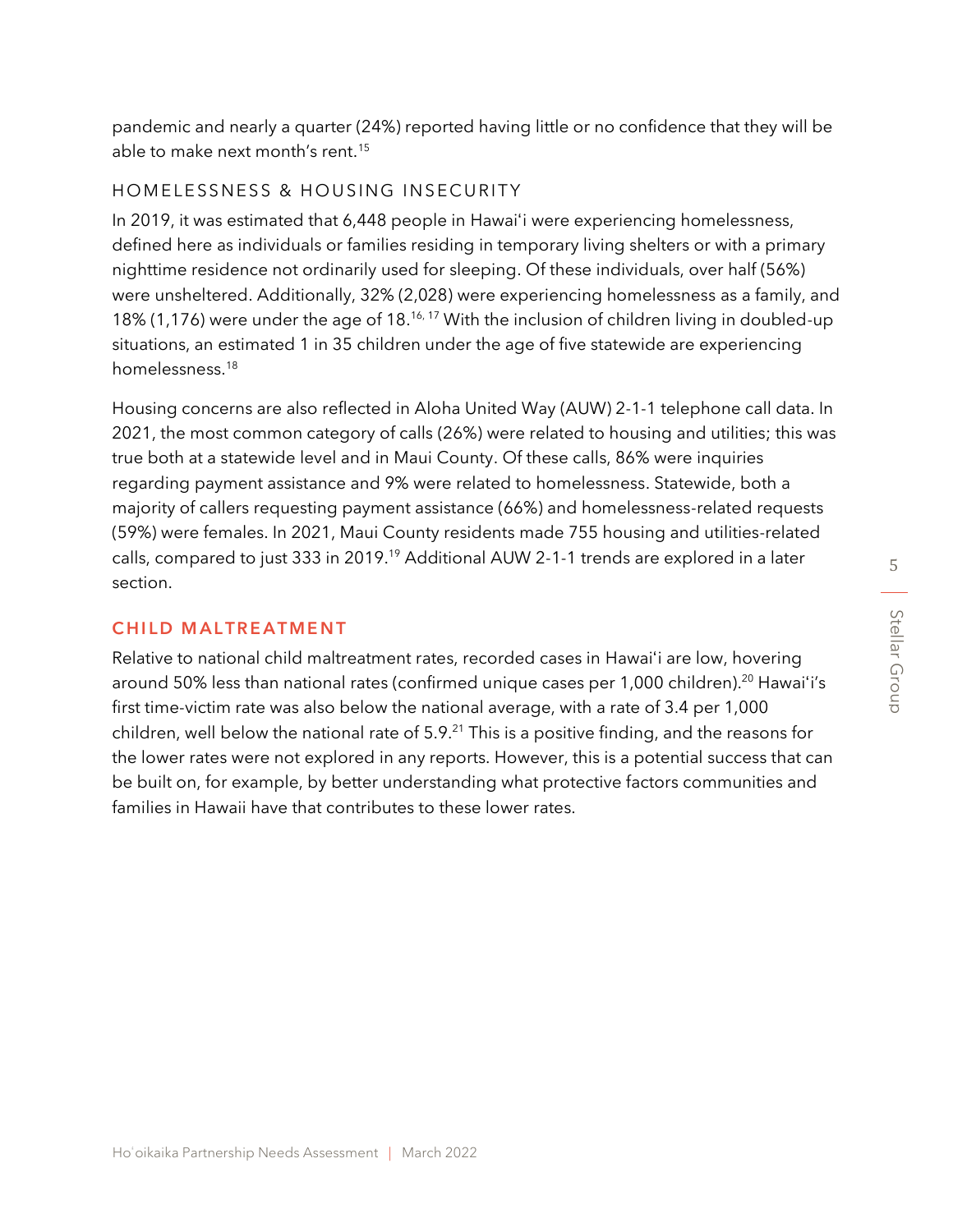pandemic and nearly a quarter (24%) reported having little or no confidence that they will be able to make next month's rent.<sup>15</sup>

#### HOMELESSNESS & HOUSING INSECURITY

In 2019, it was estimated that 6,448 people in Hawaiʻi were experiencing homelessness, defined here as individuals or families residing in temporary living shelters or with a primary nighttime residence not ordinarily used for sleeping. Of these individuals, over half (56%) were unsheltered. Additionally, 32% (2,028) were experiencing homelessness as a family, and 18% (1,176) were under the age of 18.<sup>16, 17</sup> With the inclusion of children living in doubled-up situations, an estimated 1 in 35 children under the age of five statewide are experiencing homelessness. 18

Housing concerns are also reflected in Aloha United Way (AUW) 2-1-1 telephone call data. In 2021, the most common category of calls (26%) were related to housing and utilities; this was true both at a statewide level and in Maui County. Of these calls, 86% were inquiries regarding payment assistance and 9% were related to homelessness. Statewide, both a majority of callers requesting payment assistance (66%) and homelessness-related requests (59%) were females. In 2021, Maui County residents made 755 housing and utilities-related calls, compared to just 333 in 2019.<sup>19</sup> Additional AUW 2-1-1 trends are explored in a later section.

#### **CHILD MALTREATMENT**

Relative to national child maltreatment rates, recorded cases in Hawaiʻi are low, hovering around 50% less than national rates (confirmed unique cases per 1,000 children).<sup>20</sup> Hawai'i's first time-victim rate was also below the national average, with a rate of 3.4 per 1,000 children, well below the national rate of  $5.9<sup>21</sup>$  This is a positive finding, and the reasons for the lower rates were not explored in any reports. However, this is a potential success that can be built on, for example, by better understanding what protective factors communities and families in Hawaii have that contributes to these lower rates.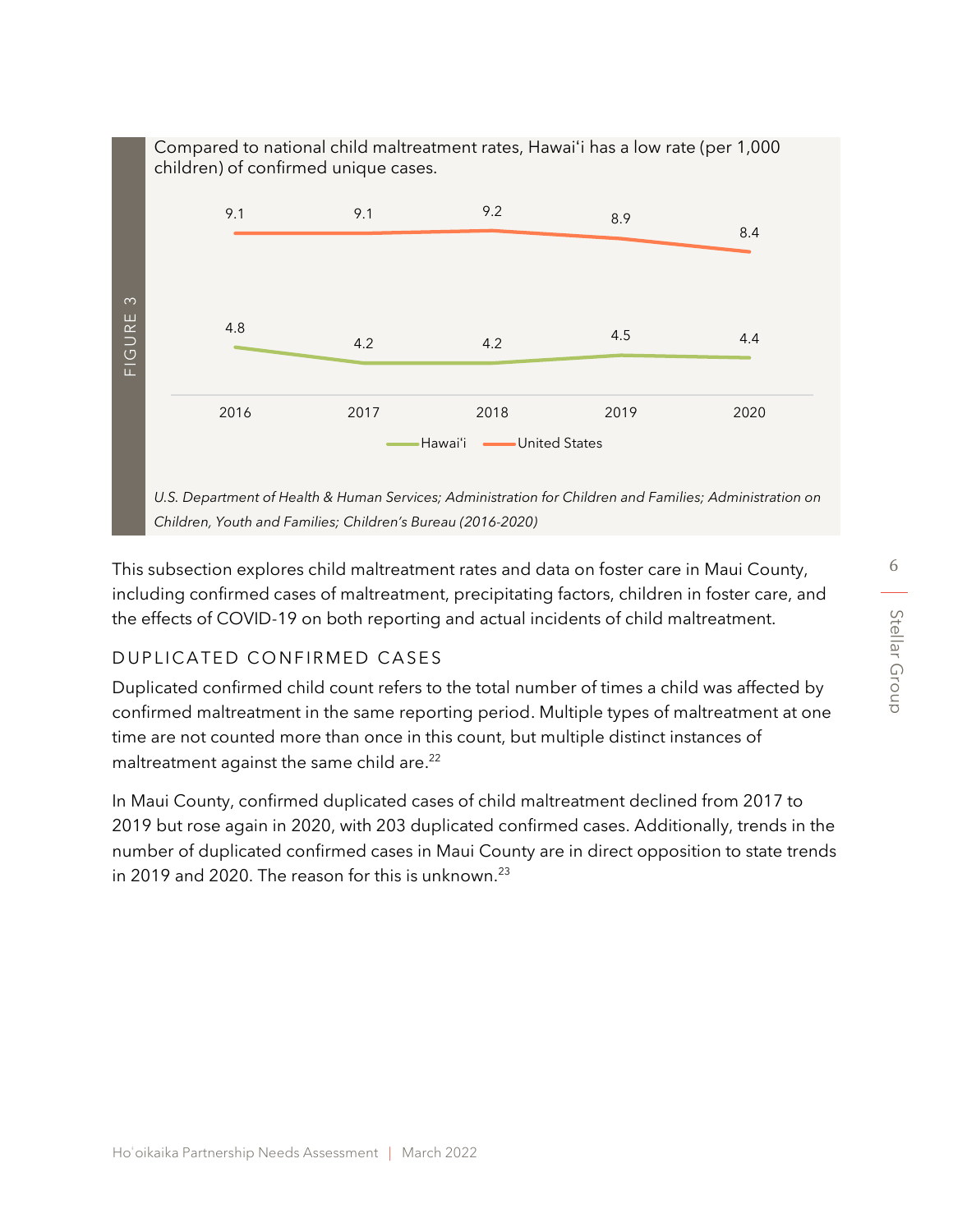

This subsection explores child maltreatment rates and data on foster care in Maui County, including confirmed cases of maltreatment, precipitating factors, children in foster care, and the effects of COVID-19 on both reporting and actual incidents of child maltreatment.

# DUPLICATED CONFIRMED CASES

Duplicated confirmed child count refers to the total number of times a child was affected by confirmed maltreatment in the same reporting period. Multiple types of maltreatment at one time are not counted more than once in this count, but multiple distinct instances of maltreatment against the same child are.<sup>22</sup>

In Maui County, confirmed duplicated cases of child maltreatment declined from 2017 to 2019 but rose again in 2020, with 203 duplicated confirmed cases. Additionally, trends in the number of duplicated confirmed cases in Maui County are in direct opposition to state trends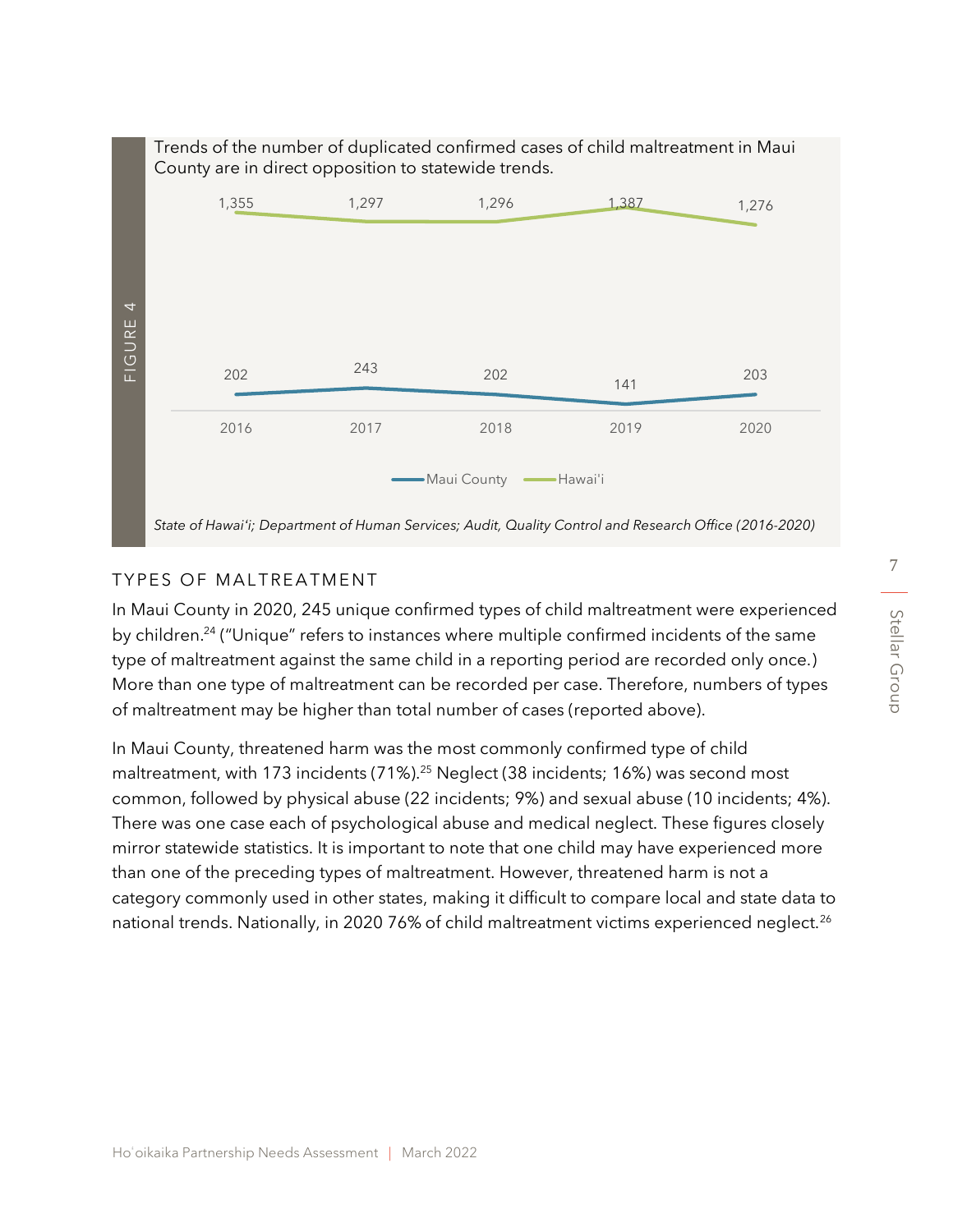

# TYPES OF MALTREATMENT

In Maui County in 2020, 245 unique confirmed types of child maltreatment were experienced by children.<sup>24</sup> ("Unique" refers to instances where multiple confirmed incidents of the same type of maltreatment against the same child in a reporting period are recorded only once.) More than one type of maltreatment can be recorded per case. Therefore, numbers of types of maltreatment may be higher than total number of cases (reported above).

In Maui County, threatened harm was the most commonly confirmed type of child maltreatment, with 173 incidents (71%).<sup>25</sup> Neglect (38 incidents; 16%) was second most common, followed by physical abuse (22 incidents; 9%) and sexual abuse (10 incidents; 4%). There was one case each of psychological abuse and medical neglect. These figures closely mirror statewide statistics. It is important to note that one child may have experienced more than one of the preceding types of maltreatment. However, threatened harm is not a category commonly used in other states, making it difficult to compare local and state data to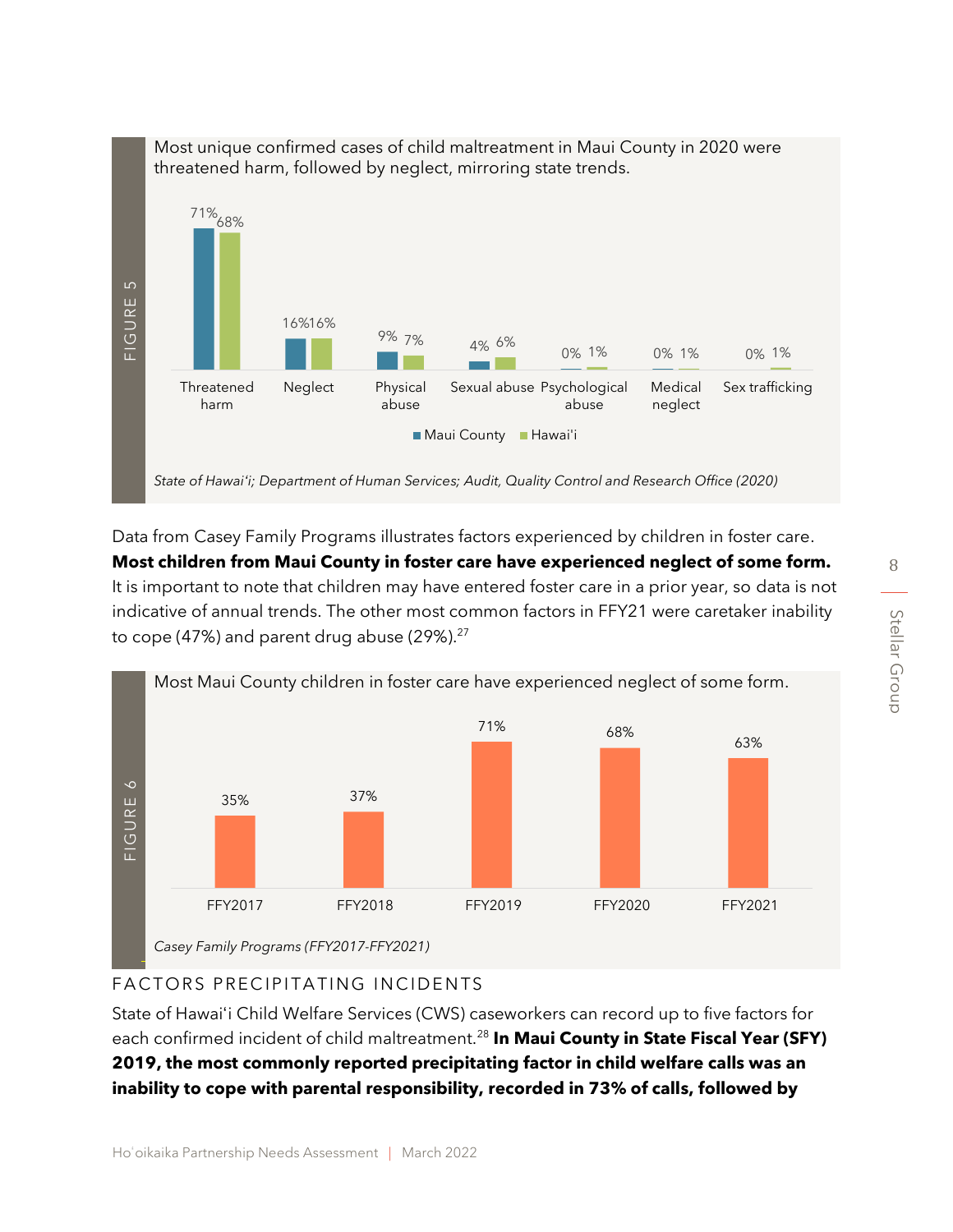

Data from Casey Family Programs illustrates factors experienced by children in foster care. **Most children from Maui County in foster care have experienced neglect of some form.** It is important to note that children may have entered foster care in a prior year, so data is not indicative of annual trends. The other most common factors in FFY21 were caretaker inability to cope (47%) and parent drug abuse (29%). $27$ 



# FACTORS PRECIPITATING INCIDENTS

State of Hawaiʻi Child Welfare Services (CWS) caseworkers can record up to five factors for each confirmed incident of child maltreatment.<sup>28</sup> **In Maui County in State Fiscal Year (SFY) 2019, the most commonly reported precipitating factor in child welfare calls was an**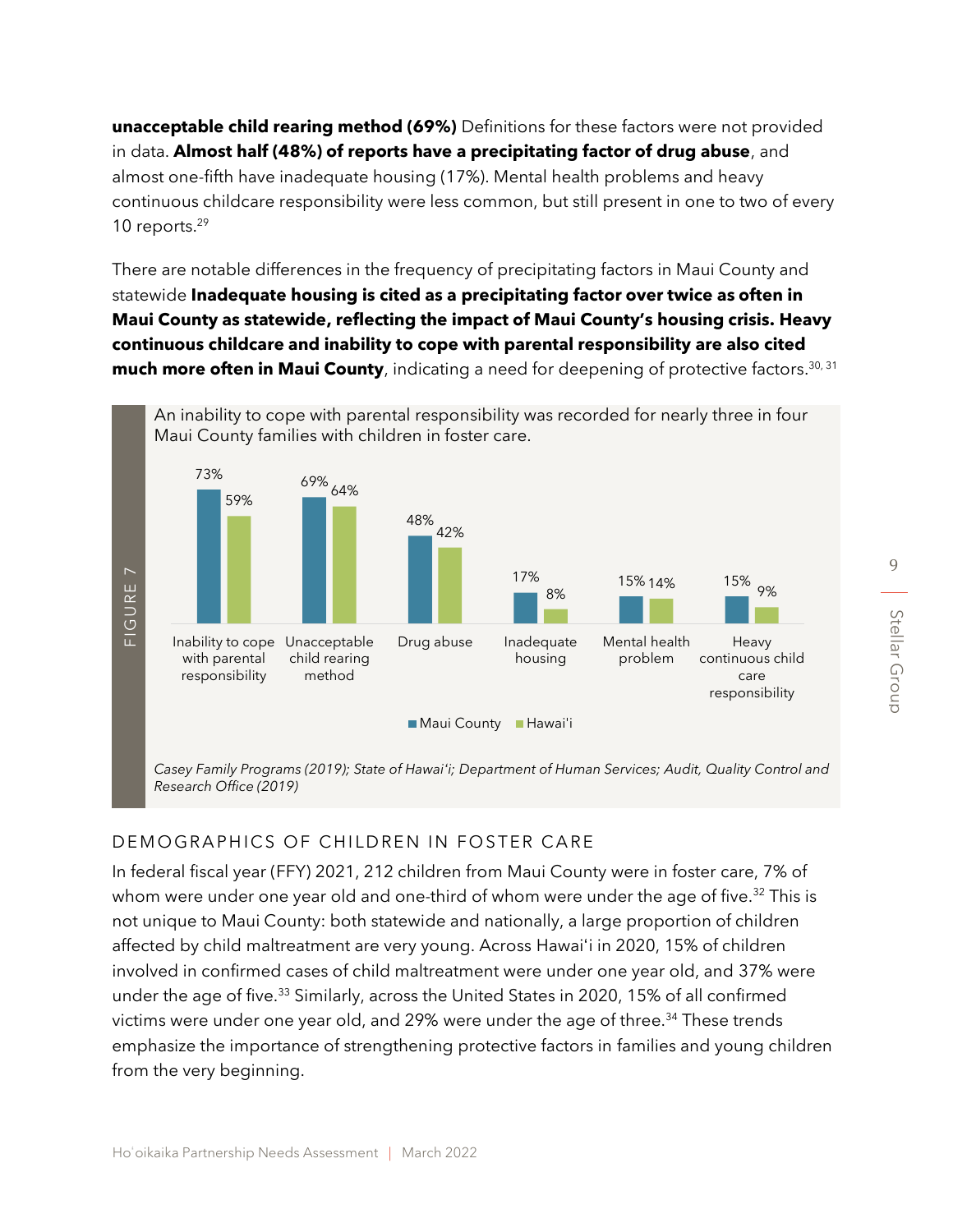**unacceptable child rearing method (69%)** Definitions for these factors were not provided in data. **Almost half (48%) of reports have a precipitating factor of drug abuse**, and almost one-fifth have inadequate housing (17%). Mental health problems and heavy continuous childcare responsibility were less common, but still present in one to two of every 10 reports. 29

There are notable differences in the frequency of precipitating factors in Maui County and statewide **Inadequate housing is cited as a precipitating factor over twice as often in Maui County as statewide, reflecting the impact of Maui County's housing crisis. Heavy continuous childcare and inability to cope with parental responsibility are also cited much more often in Maui County**, indicating a need for deepening of protective factors. 30, 31



*Casey Family Programs (2019); State of Hawaiʻi; Department of Human Services; Audit, Quality Control and Research Office (2019)*

#### DEMOGRAPHICS OF CHILDREN IN FOSTER CARE

In federal fiscal year (FFY) 2021, 212 children from Maui County were in foster care, 7% of whom were under one year old and one-third of whom were under the age of five.<sup>32</sup> This is not unique to Maui County: both statewide and nationally, a large proportion of children affected by child maltreatment are very young. Across Hawaiʻi in 2020, 15% of children involved in confirmed cases of child maltreatment were under one year old, and 37% were under the age of five.<sup>33</sup> Similarly, across the United States in 2020, 15% of all confirmed victims were under one year old, and 29% were under the age of three.<sup>34</sup> These trends emphasize the importance of strengthening protective factors in families and young children From the very beginning.<br>
From the visible very programs<br>
From the very programs<br>
Research Office (2019)<br>
DEMOGRAPHICS OF<br>
In federal fiscal year (FFY<br>
whom were under one yer<br>
affected by child maltrea<br>
involved in confir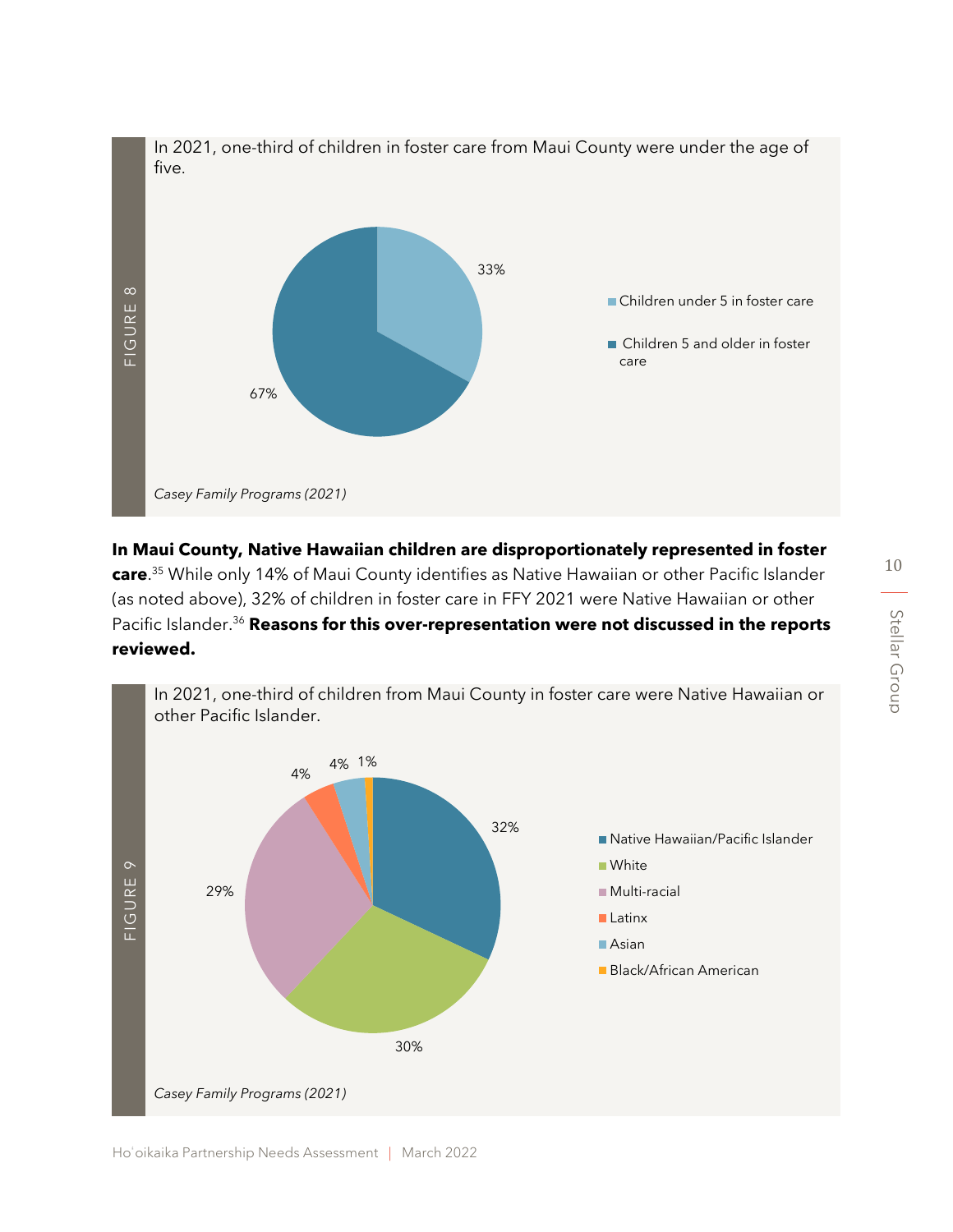

**In Maui County, Native Hawaiian children are disproportionately represented in foster care**. <sup>35</sup> While only 14% of Maui County identifies as Native Hawaiian or other Pacific Islander (as noted above), 32% of children in foster care in FFY 2021 were Native Hawaiian or other Pacific Islander. <sup>36</sup> **Reasons for this over-representation were not discussed in the reports** 

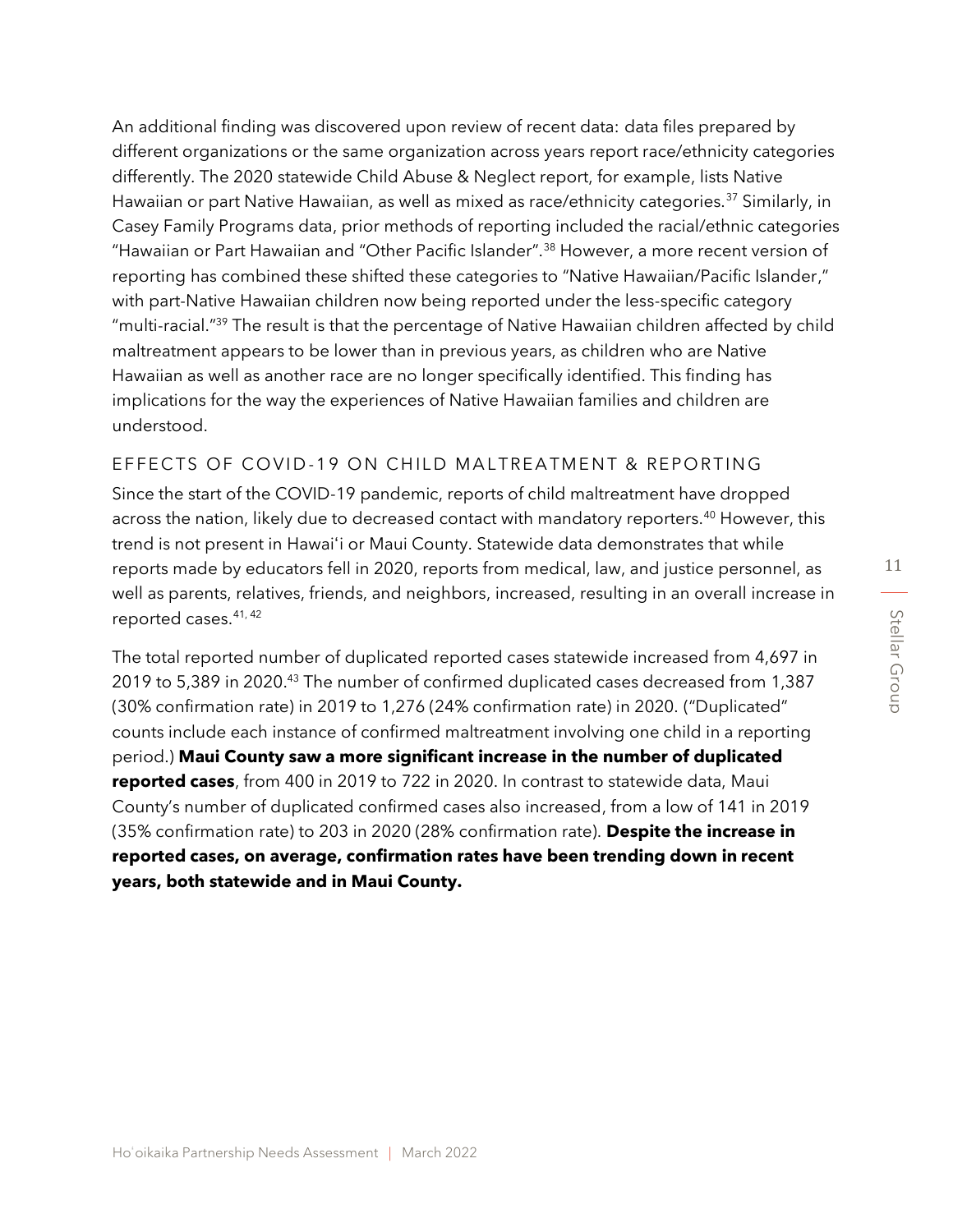An additional finding was discovered upon review of recent data: data files prepared by different organizations or the same organization across years report race/ethnicity categories differently. The 2020 statewide Child Abuse & Neglect report, for example, lists Native Hawaiian or part Native Hawaiian, as well as mixed as race/ethnicity categories.<sup>37</sup> Similarly, in Casey Family Programs data, prior methods of reporting included the racial/ethnic categories "Hawaiian or Part Hawaiian and "Other Pacific Islander".<sup>38</sup> However, a more recent version of reporting has combined these shifted these categories to "Native Hawaiian/Pacific Islander," with part-Native Hawaiian children now being reported under the less-specific category "multi-racial." <sup>39</sup> The result is that the percentage of Native Hawaiian children affected by child maltreatment appears to be lower than in previous years, as children who are Native Hawaiian as well as another race are no longer specifically identified. This finding has implications for the way the experiences of Native Hawaiian families and children are understood.

#### EFFECTS OF COVID-19 ON CHILD MALTREATMENT & REPORTING

Since the start of the COVID-19 pandemic, reports of child maltreatment have dropped across the nation, likely due to decreased contact with mandatory reporters.<sup>40</sup> However, this trend is not present in Hawaiʻi or Maui County. Statewide data demonstrates that while reports made by educators fell in 2020, reports from medical, law, and justice personnel, as well as parents, relatives, friends, and neighbors, increased, resulting in an overall increase in reported cases.41, <sup>42</sup>

The total reported number of duplicated reported cases statewide increased from 4,697 in 2019 to 5,389 in 2020.<sup>43</sup> The number of confirmed duplicated cases decreased from 1,387 (30% confirmation rate) in 2019 to 1,276 (24% confirmation rate) in 2020. ("Duplicated" counts include each instance of confirmed maltreatment involving one child in a reporting period.) **Maui County saw a more significant increase in the number of duplicated reported cases**, from 400 in 2019 to 722 in 2020. In contrast to statewide data, Maui County's number of duplicated confirmed cases also increased, from a low of 141 in 2019 (35% confirmation rate) to 203 in 2020 (28% confirmation rate). **Despite the increase in reported cases, on average, confirmation rates have been trending down in recent years, both statewide and in Maui County.**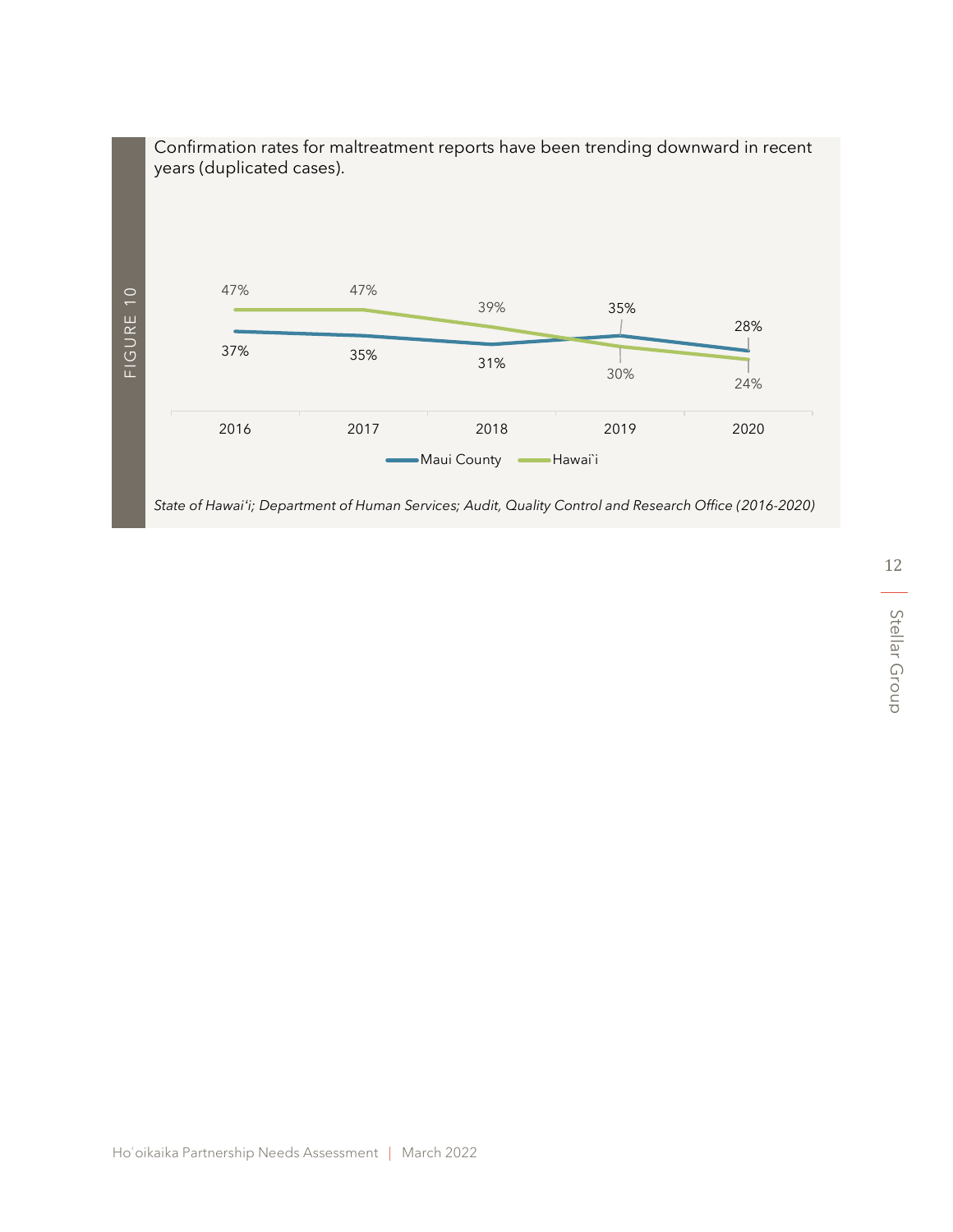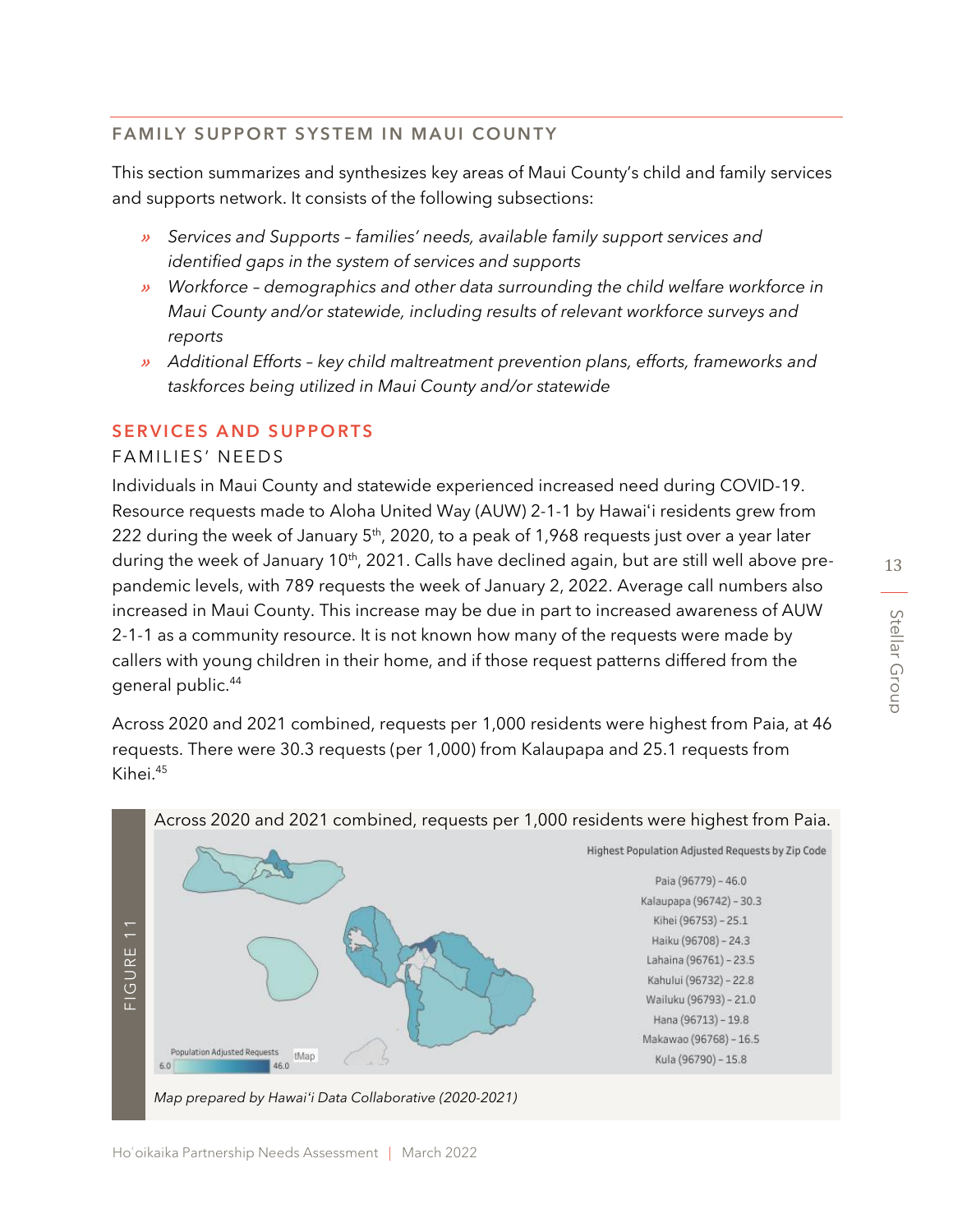## FAMILY SUPPORT SYSTEM IN MAUI COUNTY

This section summarizes and synthesizes key areas of Maui County's child and family services and supports network. It consists of the following subsections:

- » *Services and Supports – families' needs, available family support services and identified gaps in the system of services and supports*
- » *Workforce – demographics and other data surrounding the child welfare workforce in Maui County and/or statewide, including results of relevant workforce surveys and reports*
- » *Additional Efforts – key child maltreatment prevention plans, efforts, frameworks and taskforces being utilized in Maui County and/or statewide*

#### SERVICES AND SUPPORTS

#### FAMILIES' NEEDS

Individuals in Maui County and statewide experienced increased need during COVID-19. Resource requests made to Aloha United Way (AUW) 2-1-1 by Hawaiʻi residents grew from 222 during the week of January 5<sup>th</sup>, 2020, to a peak of 1,968 requests just over a year later during the week of January 10<sup>th</sup>, 2021. Calls have declined again, but are still well above prepandemic levels, with 789 requests the week of January 2, 2022. Average call numbers also increased in Maui County. This increase may be due in part to increased awareness of AUW 2-1-1 as a community resource. It is not known how many of the requests were made by callers with young children in their home, and if those request patterns differed from the general public.<sup>44</sup>

Across 2020 and 2021 combined, requests per 1,000 residents were highest from Paia, at 46 requests. There were 30.3 requests (per 1,000) from Kalaupapa and 25.1 requests from Kihei.<sup>45</sup>

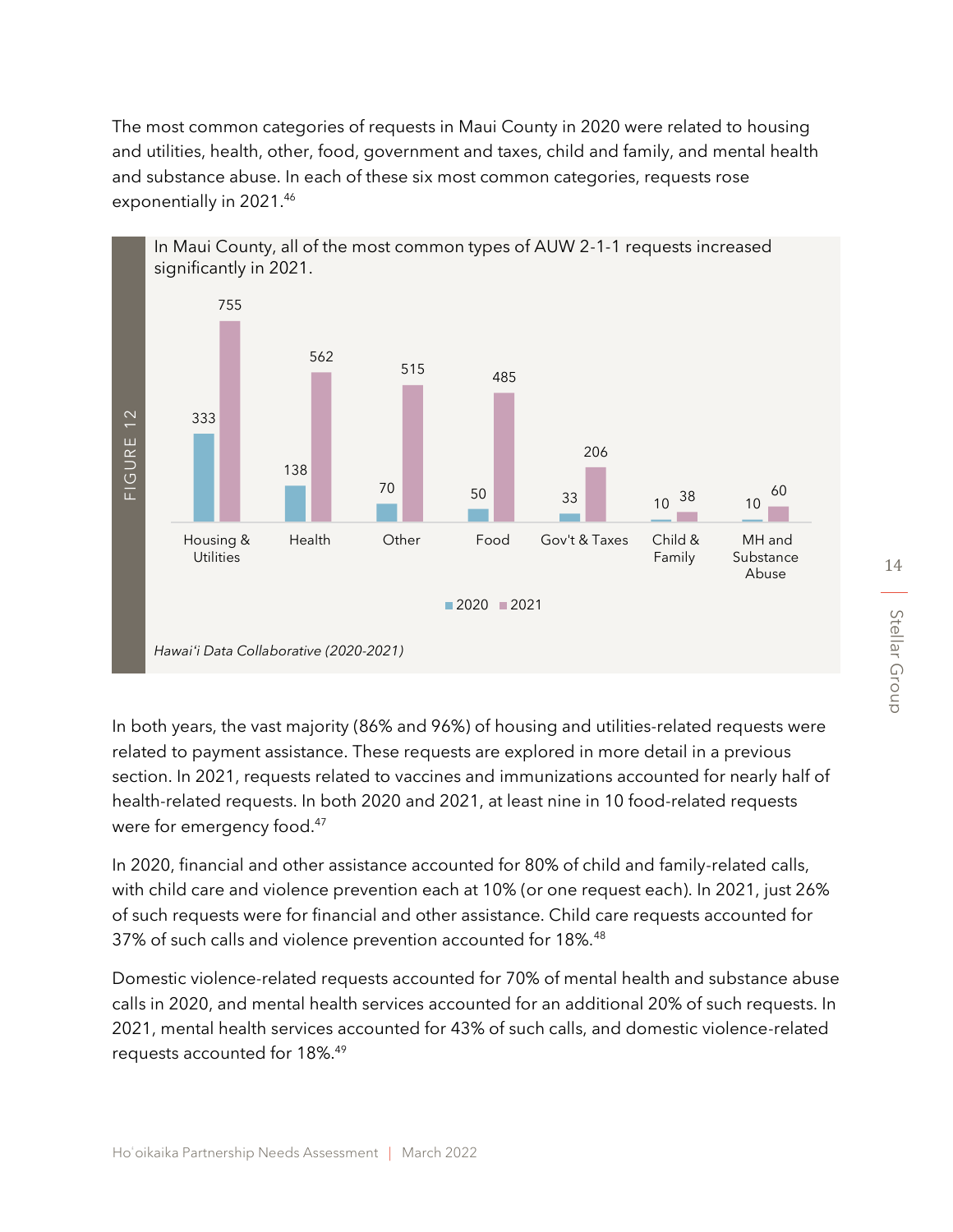The most common categories of requests in Maui County in 2020 were related to housing and utilities, health, other, food, government and taxes, child and family, and mental health and substance abuse. In each of these six most common categories, requests rose exponentially in 2021.46



In both years, the vast majority (86% and 96%) of housing and utilities-related requests were related to payment assistance. These requests are explored in more detail in a previous section. In 2021, requests related to vaccines and immunizations accounted for nearly half of health-related requests. In both 2020 and 2021, at least nine in 10 food-related requests were for emergency food.<sup>47</sup>

In 2020, financial and other assistance accounted for 80% of child and family-related calls, with child care and violence prevention each at 10% (or one request each). In 2021, just 26% of such requests were for financial and other assistance. Child care requests accounted for 37% of such calls and violence prevention accounted for 18%.<sup>48</sup>

Domestic violence-related requests accounted for 70% of mental health and substance abuse calls in 2020, and mental health services accounted for an additional 20% of such requests. In 2021, mental health services accounted for 43% of such calls, and domestic violence-related

Hoʻoikaika Partnership Needs Assessment | March 2022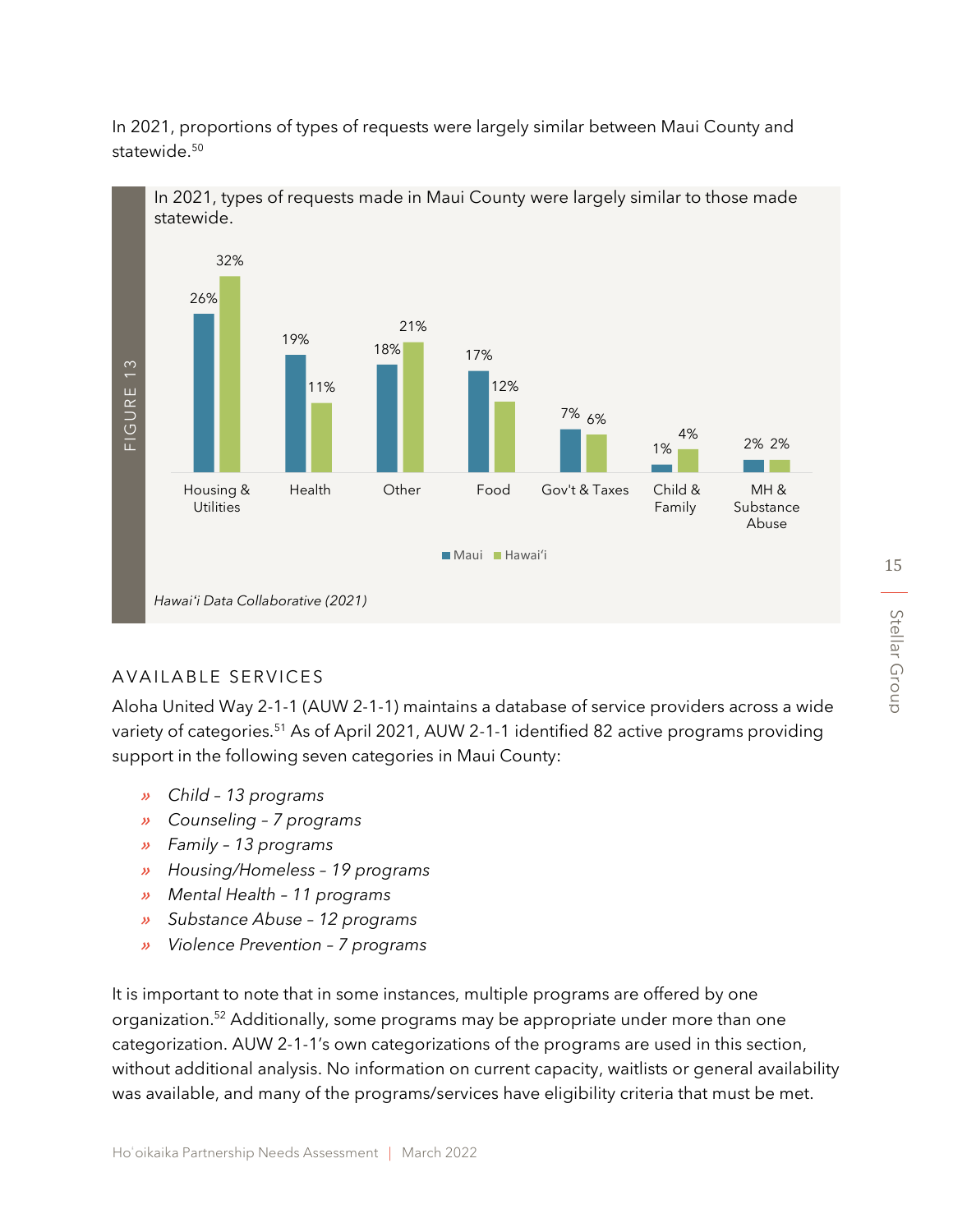In 2021, proportions of types of requests were largely similar between Maui County and statewide.<sup>50</sup>



# AVAILABLE SERVICES

Aloha United Way 2-1-1 (AUW 2-1-1) maintains a database of service providers across a wide variety of categories.<sup>51</sup> As of April 2021, AUW 2-1-1 identified 82 active programs providing support in the following seven categories in Maui County:

- » *Child – 13 programs*
- » *Counseling – 7 programs*
- » *Family – 13 programs*
- » *Housing/Homeless – 19 programs*
- » *Mental Health – 11 programs*
- » *Substance Abuse – 12 programs*
- » *Violence Prevention – 7 programs*

It is important to note that in some instances, multiple programs are offered by one organization. <sup>52</sup> Additionally, some programs may be appropriate under more than one categorization. AUW 2-1-1's own categorizations of the programs are used in this section, without additional analysis. No information on current capacity, waitlists or general availability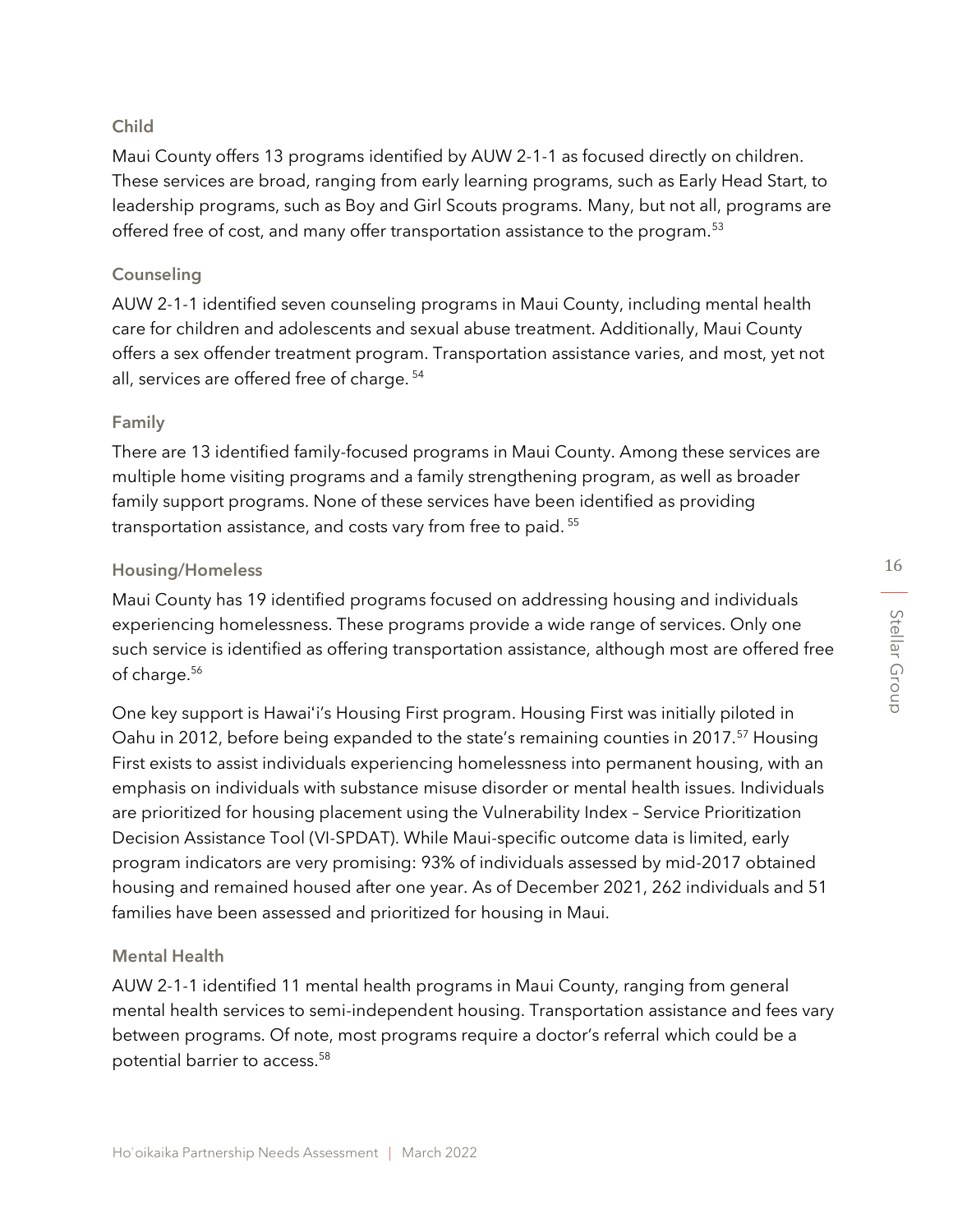#### Child

Maui County offers 13 programs identified by AUW 2-1-1 as focused directly on children. These services are broad, ranging from early learning programs, such as Early Head Start, to leadership programs, such as Boy and Girl Scouts programs. Many, but not all, programs are offered free of cost, and many offer transportation assistance to the program.<sup>53</sup>

#### Counseling

AUW 2-1-1 identified seven counseling programs in Maui County, including mental health care for children and adolescents and sexual abuse treatment. Additionally, Maui County offers a sex offender treatment program. Transportation assistance varies, and most, yet not all, services are offered free of charge. <sup>54</sup>

#### Family

There are 13 identified family-focused programs in Maui County. Among these services are multiple home visiting programs and a family strengthening program, as well as broader family support programs. None of these services have been identified as providing transportation assistance, and costs vary from free to paid.<sup>55</sup>

#### Housing/Homeless

Maui County has 19 identified programs focused on addressing housing and individuals experiencing homelessness. These programs provide a wide range of services. Only one such service is identified as offering transportation assistance, although most are offered free of charge.<sup>56</sup>

One key support is Hawaiʻi's Housing First program. Housing First was initially piloted in Oahu in 2012, before being expanded to the state's remaining counties in 2017.<sup>57</sup> Housing First exists to assist individuals experiencing homelessness into permanent housing, with an emphasis on individuals with substance misuse disorder or mental health issues. Individuals are prioritized for housing placement using the Vulnerability Index – Service Prioritization Decision Assistance Tool (VI-SPDAT). While Maui-specific outcome data is limited, early program indicators are very promising: 93% of individuals assessed by mid-2017 obtained housing and remained housed after one year. As of December 2021, 262 individuals and 51 families have been assessed and prioritized for housing in Maui.

#### Mental Health

AUW 2-1-1 identified 11 mental health programs in Maui County, ranging from general mental health services to semi-independent housing. Transportation assistance and fees vary between programs. Of note, most programs require a doctor's referral which could be a potential barrier to access. 58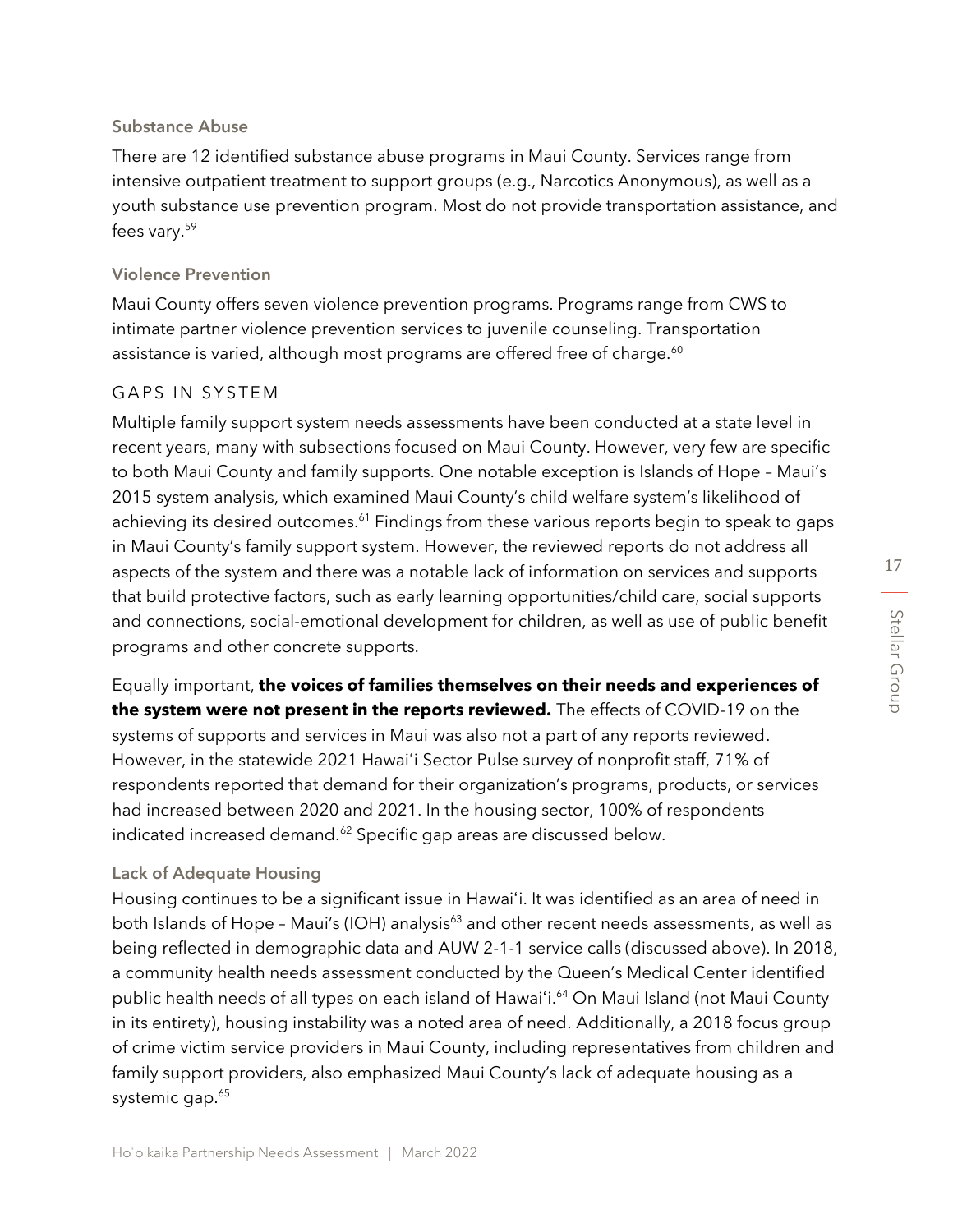17

#### Substance Abuse

There are 12 identified substance abuse programs in Maui County. Services range from intensive outpatient treatment to support groups (e.g., Narcotics Anonymous), as well as a youth substance use prevention program. Most do not provide transportation assistance, and fees vary.<sup>59</sup>

#### Violence Prevention

Maui County offers seven violence prevention programs. Programs range from CWS to intimate partner violence prevention services to juvenile counseling. Transportation assistance is varied, although most programs are offered free of charge.<sup>60</sup>

#### GAPS IN SYSTEM

Multiple family support system needs assessments have been conducted at a state level in recent years, many with subsections focused on Maui County. However, very few are specific to both Maui County and family supports. One notable exception is Islands of Hope – Maui's 2015 system analysis, which examined Maui County's child welfare system's likelihood of achieving its desired outcomes.<sup>61</sup> Findings from these various reports begin to speak to gaps in Maui County's family support system. However, the reviewed reports do not address all aspects of the system and there was a notable lack of information on services and supports that build protective factors, such as early learning opportunities/child care, social supports and connections, social-emotional development for children, as well as use of public benefit programs and other concrete supports.

Equally important, **the voices of families themselves on their needs and experiences of the system were not present in the reports reviewed.** The effects of COVID-19 on the systems of supports and services in Maui was also not a part of any reports reviewed. However, in the statewide 2021 Hawaiʻi Sector Pulse survey of nonprofit staff, 71% of respondents reported that demand for their organization's programs, products, or services had increased between 2020 and 2021. In the housing sector, 100% of respondents indicated increased demand.<sup>62</sup> Specific gap areas are discussed below.

#### Lack of Adequate Housing

Housing continues to be a significant issue in Hawaiʻi. It was identified as an area of need in both Islands of Hope - Maui's (IOH) analysis<sup>63</sup> and other recent needs assessments, as well as being reflected in demographic data and AUW 2-1-1 service calls (discussed above). In 2018, a community health needs assessment conducted by the Queen's Medical Center identified public health needs of all types on each island of Hawaiʻi.<sup>64</sup> On Maui Island (not Maui County in its entirety), housing instability was a noted area of need. Additionally, a 2018 focus group of crime victim service providers in Maui County, including representatives from children and family support providers, also emphasized Maui County's lack of adequate housing as a systemic gap.<sup>65</sup>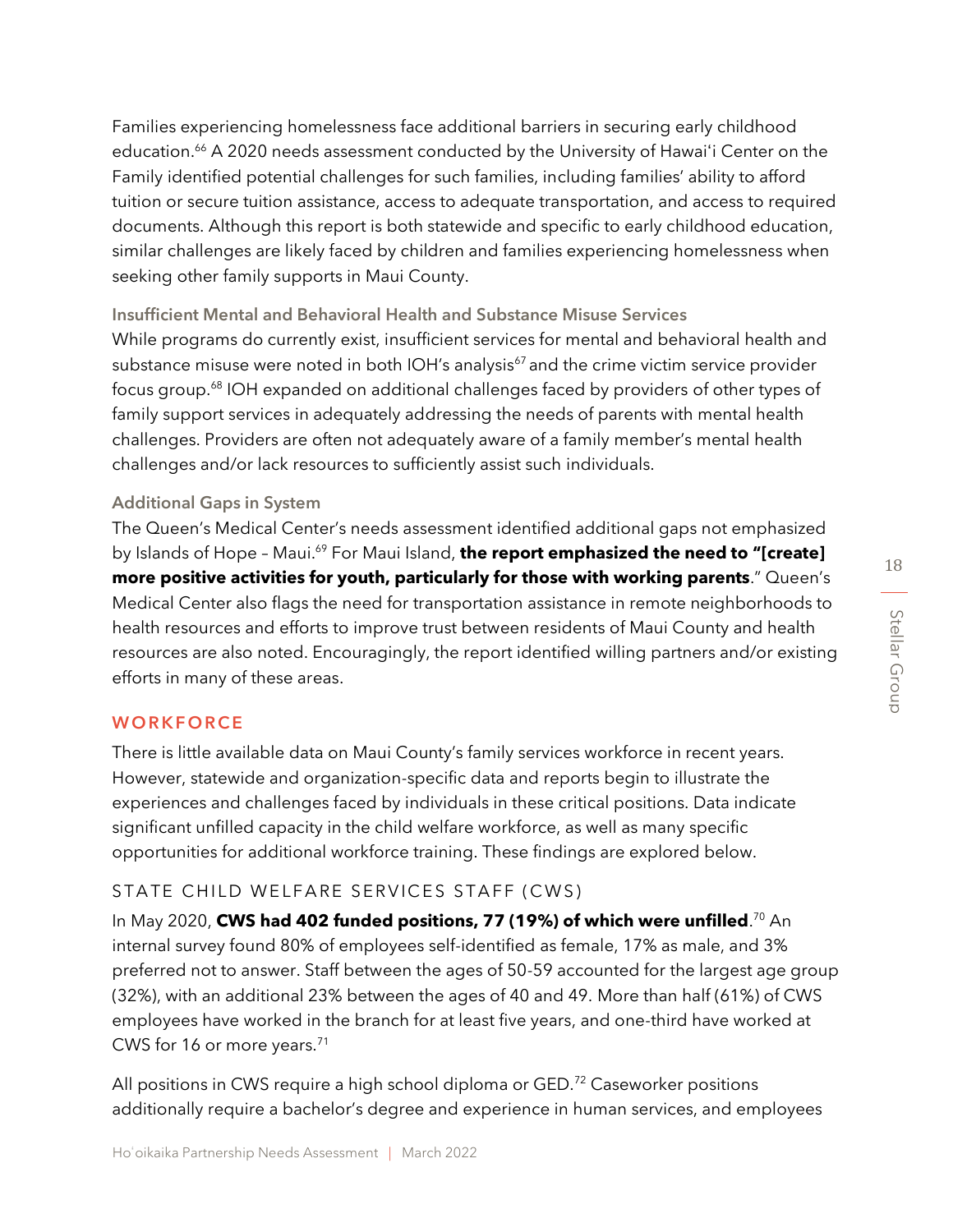Families experiencing homelessness face additional barriers in securing early childhood education.<sup>66</sup> A 2020 needs assessment conducted by the University of Hawai'i Center on the Family identified potential challenges for such families, including families' ability to afford tuition or secure tuition assistance, access to adequate transportation, and access to required documents. Although this report is both statewide and specific to early childhood education, similar challenges are likely faced by children and families experiencing homelessness when seeking other family supports in Maui County.

Insufficient Mental and Behavioral Health and Substance Misuse Services While programs do currently exist, insufficient services for mental and behavioral health and substance misuse were noted in both IOH's analysis $67$  and the crime victim service provider focus group.<sup>68</sup> IOH expanded on additional challenges faced by providers of other types of family support services in adequately addressing the needs of parents with mental health challenges. Providers are often not adequately aware of a family member's mental health challenges and/or lack resources to sufficiently assist such individuals.

#### Additional Gaps in System

The Queen's Medical Center's needs assessment identified additional gaps not emphasized by Islands of Hope – Maui.<sup>69</sup> For Maui Island, **the report emphasized the need to "[create] more positive activities for youth, particularly for those with working parents**." Queen's Medical Center also flags the need for transportation assistance in remote neighborhoods to health resources and efforts to improve trust between residents of Maui County and health resources are also noted. Encouragingly, the report identified willing partners and/or existing efforts in many of these areas.

#### **WORKFORCE**

There is little available data on Maui County's family services workforce in recent years. However, statewide and organization-specific data and reports begin to illustrate the experiences and challenges faced by individuals in these critical positions. Data indicate significant unfilled capacity in the child welfare workforce, as well as many specific opportunities for additional workforce training. These findings are explored below.

#### STATE CHILD WELFARE SERVICES STAFF (CWS)

In May 2020, **CWS had 402 funded positions, 77 (19%) of which were unfilled**.<sup>70</sup> An internal survey found 80% of employees self-identified as female, 17% as male, and 3% preferred not to answer. Staff between the ages of 50-59 accounted for the largest age group (32%), with an additional 23% between the ages of 40 and 49. More than half (61%) of CWS employees have worked in the branch for at least five years, and one-third have worked at CWS for 16 or more years.<sup>71</sup>

All positions in CWS require a high school diploma or GED.<sup>72</sup> Caseworker positions additionally require a bachelor's degree and experience in human services, and employees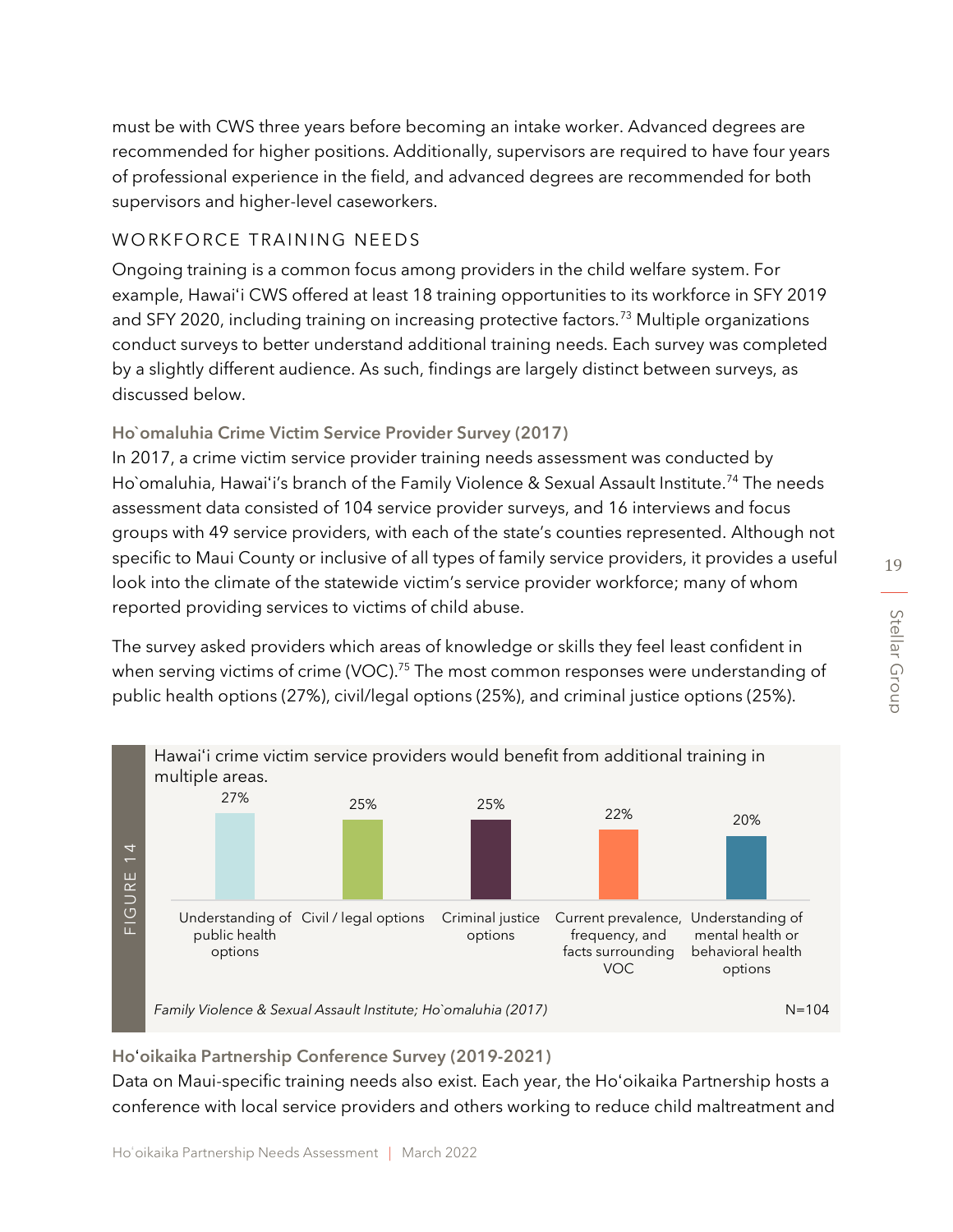must be with CWS three years before becoming an intake worker. Advanced degrees are recommended for higher positions. Additionally, supervisors are required to have four years of professional experience in the field, and advanced degrees are recommended for both supervisors and higher-level caseworkers.

#### WORKFORCE TRAINING NEEDS

Ongoing training is a common focus among providers in the child welfare system. For example, Hawaiʻi CWS offered at least 18 training opportunities to its workforce in SFY 2019 and SFY 2020, including training on increasing protective factors.<sup>73</sup> Multiple organizations conduct surveys to better understand additional training needs. Each survey was completed by a slightly different audience. As such, findings are largely distinct between surveys, as discussed below.

### Ho`omaluhia Crime Victim Service Provider Survey (2017)

In 2017, a crime victim service provider training needs assessment was conducted by Ho`omaluhia, Hawaiʻi's branch of the Family Violence & Sexual Assault Institute. <sup>74</sup> The needs assessment data consisted of 104 service provider surveys, and 16 interviews and focus groups with 49 service providers, with each of the state's counties represented. Although not specific to Maui County or inclusive of all types of family service providers, it provides a useful look into the climate of the statewide victim's service provider workforce; many of whom reported providing services to victims of child abuse.

The survey asked providers which areas of knowledge or skills they feel least confident in when serving victims of crime (VOC).<sup>75</sup> The most common responses were understanding of public health options (27%), civil/legal options (25%), and criminal justice options (25%).



Hoʻoikaika Partnership Conference Survey (2019-2021)

Data on Maui-specific training needs also exist. Each year, the Hoʻoikaika Partnership hosts a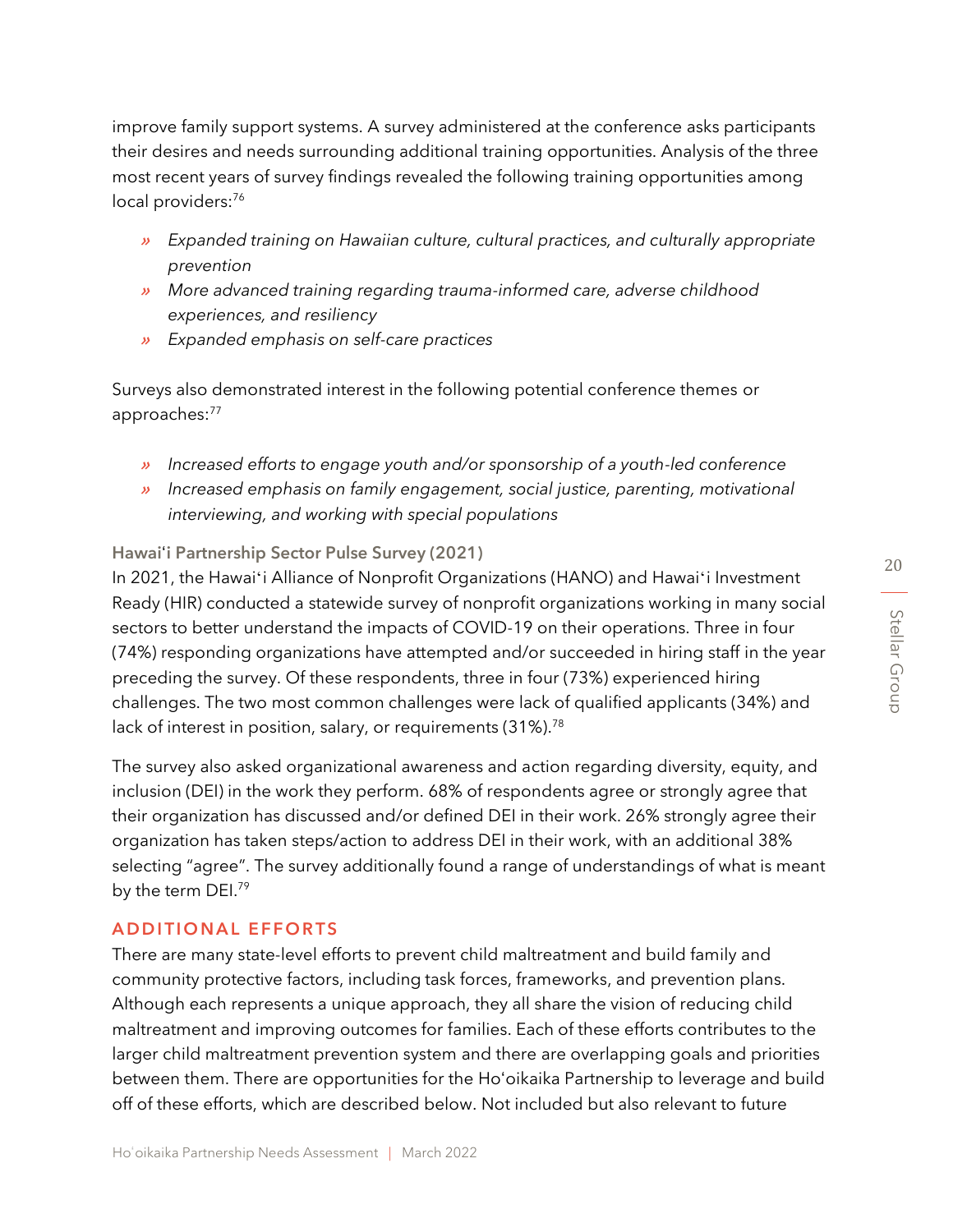improve family support systems. A survey administered at the conference asks participants their desires and needs surrounding additional training opportunities. Analysis of the three most recent years of survey findings revealed the following training opportunities among local providers:<sup>76</sup>

- » *Expanded training on Hawaiian culture, cultural practices, and culturally appropriate prevention*
- » *More advanced training regarding trauma-informed care, adverse childhood experiences, and resiliency*
- » *Expanded emphasis on self-care practices*

Surveys also demonstrated interest in the following potential conference themes or approaches: 77

- » *Increased efforts to engage youth and/or sponsorship of a youth-led conference*
- » *Increased emphasis on family engagement, social justice, parenting, motivational interviewing, and working with special populations*

#### Hawaiʻi Partnership Sector Pulse Survey (2021)

In 2021, the Hawaiʻi Alliance of Nonprofit Organizations (HANO) and Hawaiʻi Investment Ready (HIR) conducted a statewide survey of nonprofit organizations working in many social sectors to better understand the impacts of COVID-19 on their operations. Three in four (74%) responding organizations have attempted and/or succeeded in hiring staff in the year preceding the survey. Of these respondents, three in four (73%) experienced hiring challenges. The two most common challenges were lack of qualified applicants (34%) and lack of interest in position, salary, or requirements (31%).<sup>78</sup>

The survey also asked organizational awareness and action regarding diversity, equity, and inclusion (DEI) in the work they perform. 68% of respondents agree or strongly agree that their organization has discussed and/or defined DEI in their work. 26% strongly agree their organization has taken steps/action to address DEI in their work, with an additional 38% selecting "agree". The survey additionally found a range of understandings of what is meant by the term DEI.<sup>79</sup>

#### **ADDITIONAL EFFORTS**

There are many state-level efforts to prevent child maltreatment and build family and community protective factors, including task forces, frameworks, and prevention plans. Although each represents a unique approach, they all share the vision of reducing child maltreatment and improving outcomes for families. Each of these efforts contributes to the larger child maltreatment prevention system and there are overlapping goals and priorities between them. There are opportunities for the Hoʻoikaika Partnership to leverage and build off of these efforts, which are described below. Not included but also relevant to future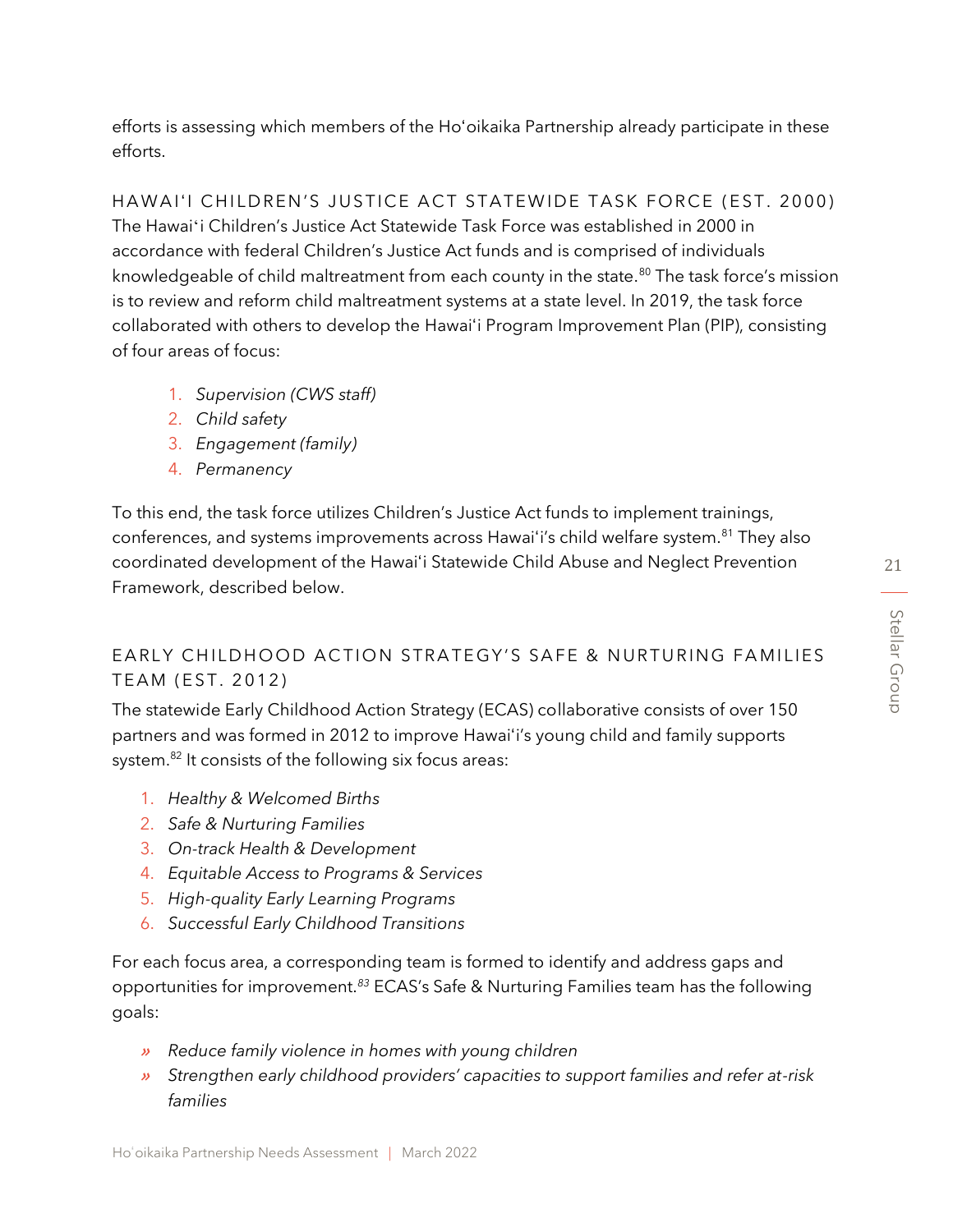efforts is assessing which members of the Hoʻoikaika Partnership already participate in these efforts.

HAWAIʻI CHILDREN'S JUSTICE ACT STATEWIDE TASK FORCE (EST. 2000) The Hawaiʻi Children's Justice Act Statewide Task Force was established in 2000 in accordance with federal Children's Justice Act funds and is comprised of individuals knowledgeable of child maltreatment from each county in the state.<sup>80</sup> The task force's mission is to review and reform child maltreatment systems at a state level. In 2019, the task force collaborated with others to develop the Hawaiʻi Program Improvement Plan (PIP), consisting of four areas of focus:

- 1. *Supervision (CWS staff)*
- 2. *Child safety*
- 3. *Engagement (family)*
- 4. *Permanency*

To this end, the task force utilizes Children's Justice Act funds to implement trainings, conferences, and systems improvements across Hawai'i's child welfare system.<sup>81</sup> They also coordinated development of the Hawaiʻi Statewide Child Abuse and Neglect Prevention Framework, described below.

# EARLY CHILDHOOD ACTION STRATEGY'S SAFE & NURTURING FAMILIES TEAM (EST. 2012)

The statewide Early Childhood Action Strategy (ECAS) collaborative consists of over 150 partners and was formed in 2012 to improve Hawaiʻi's young child and family supports system.<sup>82</sup> It consists of the following six focus areas:

- 1. *Healthy & Welcomed Births*
- 2. *Safe & Nurturing Families*
- 3. *On-track Health & Development*
- 4. *Equitable Access to Programs & Services*
- 5. *High-quality Early Learning Programs*
- 6. *Successful Early Childhood Transitions*

For each focus area, a corresponding team is formed to identify and address gaps and opportunities for improvement.*<sup>83</sup>* ECAS's Safe & Nurturing Families team has the following goals:

- » *Reduce family violence in homes with young children*
- » *Strengthen early childhood providers' capacities to support families and refer at-risk families*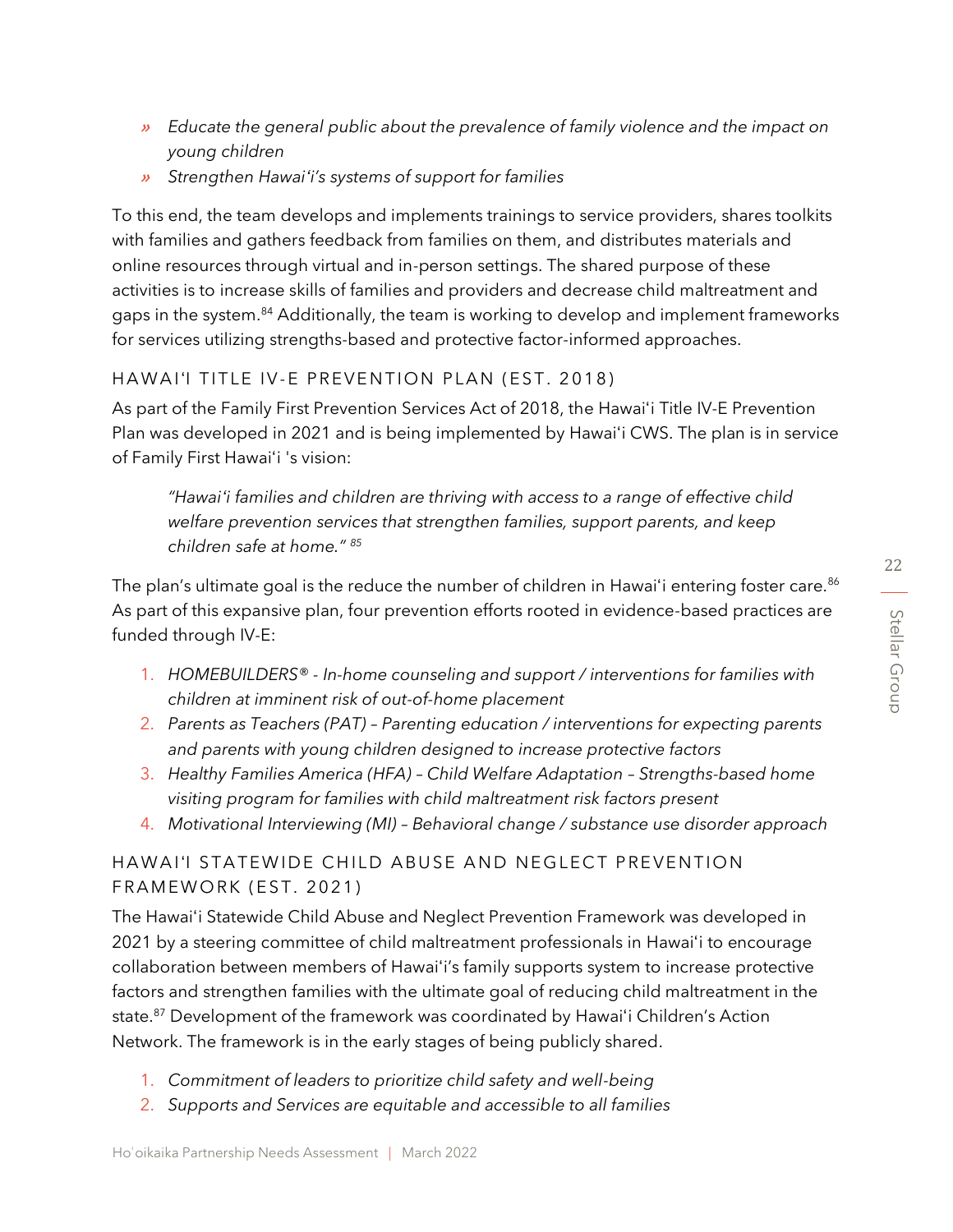- » *Educate the general public about the prevalence of family violence and the impact on young children*
- » *Strengthen Hawaiʻi's systems of support for families*

To this end, the team develops and implements trainings to service providers, shares toolkits with families and gathers feedback from families on them, and distributes materials and online resources through virtual and in-person settings. The shared purpose of these activities is to increase skills of families and providers and decrease child maltreatment and gaps in the system.<sup>84</sup> Additionally, the team is working to develop and implement frameworks for services utilizing strengths-based and protective factor-informed approaches.

#### HAWAIʻI TITLE IV-E PREVENTION PLAN (EST. 2018)

As part of the Family First Prevention Services Act of 2018, the Hawaiʻi Title IV-E Prevention Plan was developed in 2021 and is being implemented by Hawaiʻi CWS. The plan is in service of Family First Hawaiʻi 's vision:

*"Hawaiʻi families and children are thriving with access to a range of effective child welfare prevention services that strengthen families, support parents, and keep children safe at home." <sup>85</sup>*

The plan's ultimate goal is the reduce the number of children in Hawai'i entering foster care.<sup>86</sup> As part of this expansive plan, four prevention efforts rooted in evidence-based practices are funded through IV-E:

- 1. *HOMEBUILDERS® - In-home counseling and support / interventions for families with children at imminent risk of out-of-home placement*
- 2. *Parents as Teachers (PAT) – Parenting education / interventions for expecting parents and parents with young children designed to increase protective factors*
- 3. *Healthy Families America (HFA) – Child Welfare Adaptation – Strengths-based home visiting program for families with child maltreatment risk factors present*
- 4. *Motivational Interviewing (MI) – Behavioral change / substance use disorder approach*

# HAWAIʻI STATEWIDE CHILD ABUSE AND NEGLECT PREVENTION FRAMEWORK (EST. 2021)

The Hawaiʻi Statewide Child Abuse and Neglect Prevention Framework was developed in 2021 by a steering committee of child maltreatment professionals in Hawaiʻi to encourage collaboration between members of Hawaiʻi's family supports system to increase protective factors and strengthen families with the ultimate goal of reducing child maltreatment in the state. <sup>87</sup> Development of the framework was coordinated by Hawaiʻi Children's Action Network. The framework is in the early stages of being publicly shared.

- 1. *Commitment of leaders to prioritize child safety and well-being*
- 2. *Supports and Services are equitable and accessible to all families*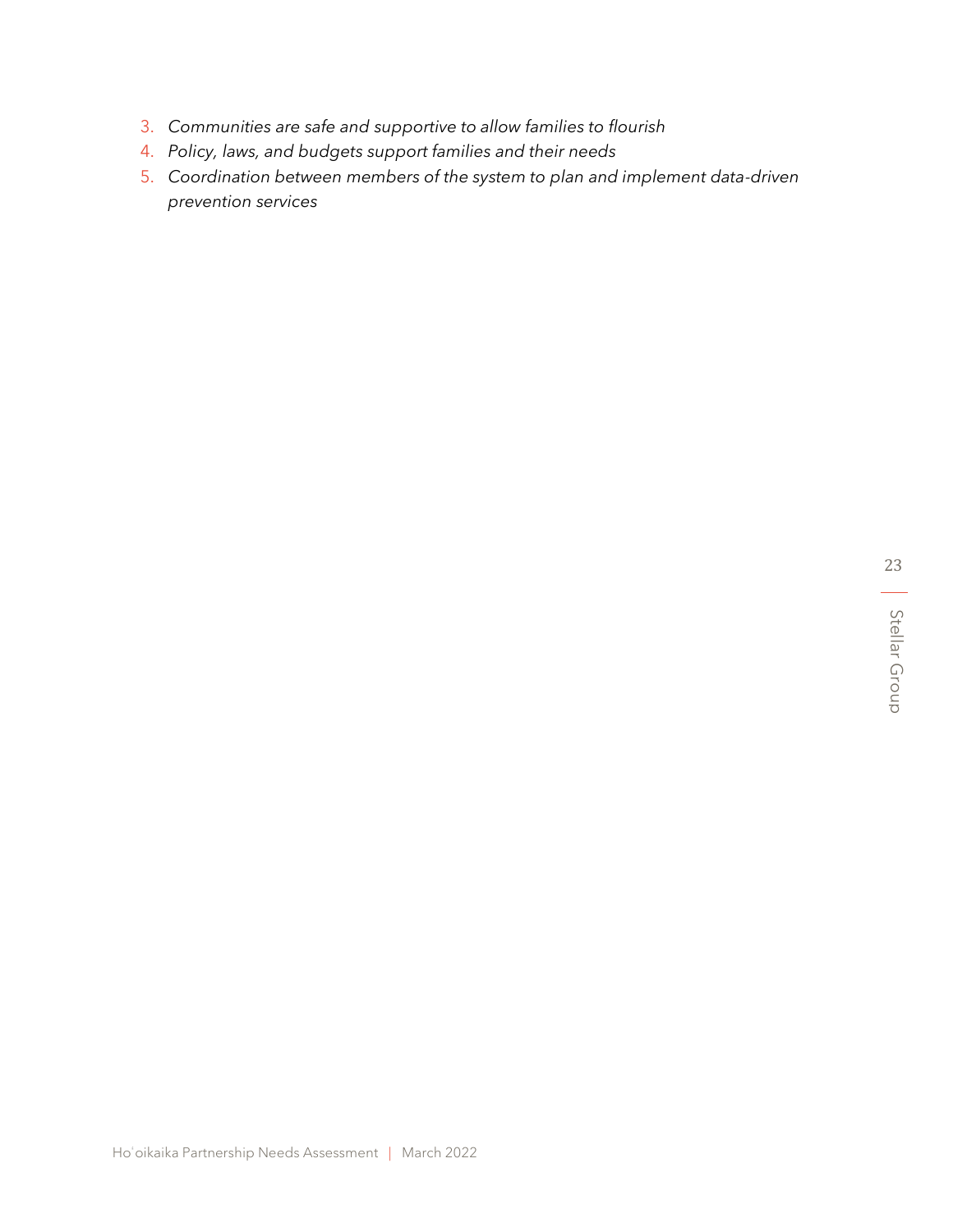- 3. *Communities are safe and supportive to allow families to flourish*
- 4. *Policy, laws, and budgets support families and their needs*
- 5. *Coordination between members of the system to plan and implement data-driven prevention services*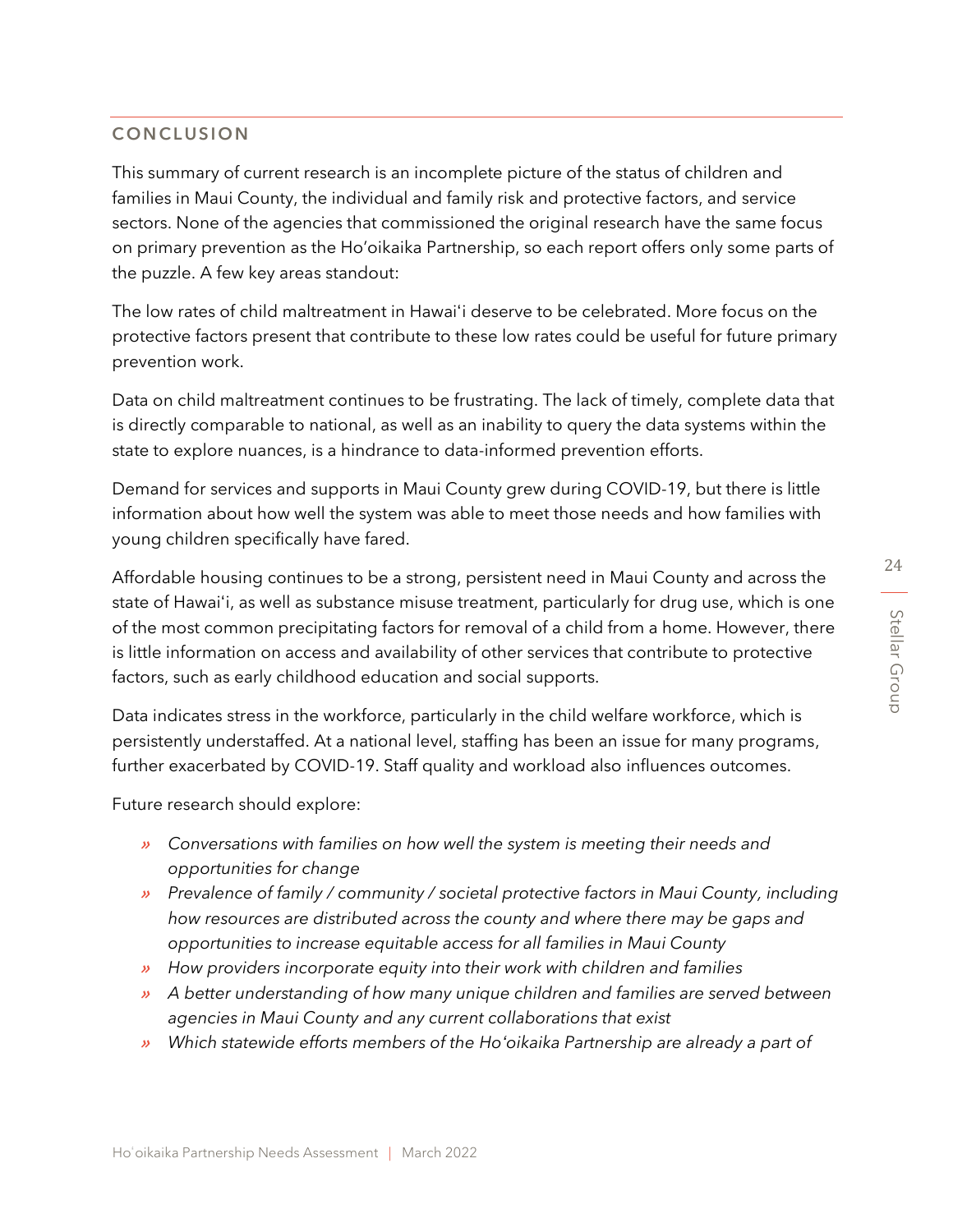24

# **CONCLUSION**

This summary of current research is an incomplete picture of the status of children and families in Maui County, the individual and family risk and protective factors, and service sectors. None of the agencies that commissioned the original research have the same focus on primary prevention as the Ho'oikaika Partnership, so each report offers only some parts of the puzzle. A few key areas standout:

The low rates of child maltreatment in Hawaiʻi deserve to be celebrated. More focus on the protective factors present that contribute to these low rates could be useful for future primary prevention work.

Data on child maltreatment continues to be frustrating. The lack of timely, complete data that is directly comparable to national, as well as an inability to query the data systems within the state to explore nuances, is a hindrance to data-informed prevention efforts.

Demand for services and supports in Maui County grew during COVID-19, but there is little information about how well the system was able to meet those needs and how families with young children specifically have fared.

Affordable housing continues to be a strong, persistent need in Maui County and across the state of Hawaiʻi, as well as substance misuse treatment, particularly for drug use, which is one of the most common precipitating factors for removal of a child from a home. However, there is little information on access and availability of other services that contribute to protective factors, such as early childhood education and social supports.

Data indicates stress in the workforce, particularly in the child welfare workforce, which is persistently understaffed. At a national level, staffing has been an issue for many programs, further exacerbated by COVID-19. Staff quality and workload also influences outcomes.

Future research should explore:

- » *Conversations with families on how well the system is meeting their needs and opportunities for change*
- » *Prevalence of family / community / societal protective factors in Maui County, including how resources are distributed across the county and where there may be gaps and opportunities to increase equitable access for all families in Maui County*
- » *How providers incorporate equity into their work with children and families*
- » *A better understanding of how many unique children and families are served between agencies in Maui County and any current collaborations that exist*
- » *Which statewide efforts members of the Hoʻoikaika Partnership are already a part of*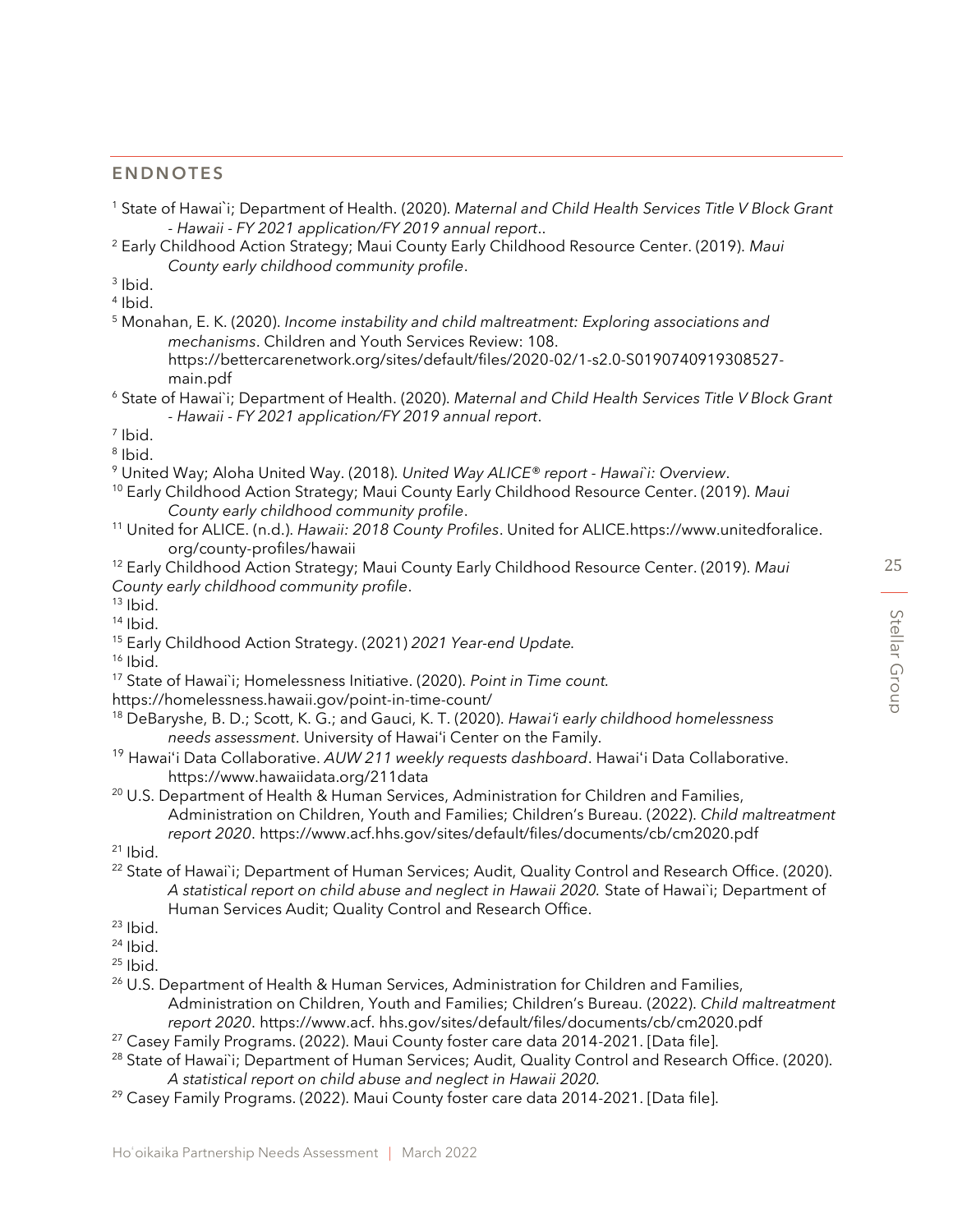#### **ENDNOTES**

- <sup>1</sup> State of Hawai`i; Department of Health. (2020). *Maternal and Child Health Services Title V Block Grant - Hawaii - FY 2021 application/FY 2019 annual report*..
- <sup>2</sup> Early Childhood Action Strategy; Maui County Early Childhood Resource Center. (2019). *Maui County early childhood community profile*.
- 3 Ibid.
- 4 Ibid.
- <sup>5</sup> Monahan, E. K. (2020). *Income instability and child maltreatment: Exploring associations and mechanisms*. Children and Youth Services Review: 108. https://bettercarenetwork.org/sites/default/files/2020-02/1-s2.0-S0190740919308527
	- main.pdf
- <sup>6</sup> State of Hawai`i; Department of Health. (2020). *Maternal and Child Health Services Title V Block Grant - Hawaii - FY 2021 application/FY 2019 annual report*.
- 7 Ibid.
- 8 Ibid.
- <sup>9</sup> United Way; Aloha United Way. (2018). *United Way ALICE® report - Hawai*`*i: Overview*.
- <sup>10</sup> Early Childhood Action Strategy; Maui County Early Childhood Resource Center. (2019). *Maui County early childhood community profile*.
- <sup>11</sup> United for ALICE. (n.d.). *Hawaii: 2018 County Profiles*. United for ALICE.https://www.unitedforalice. org/county-profiles/hawaii
- <sup>12</sup> Early Childhood Action Strategy; Maui County Early Childhood Resource Center. (2019). *Maui County early childhood community profile*.
- $13$  Ibid.
- $14$  Ibid.
- <sup>15</sup> Early Childhood Action Strategy. (2021) *2021 Year-end Update.*

 $16$  Ibid.

- <sup>17</sup> State of Hawai`i; Homelessness Initiative. (2020). *Point in Time count.*
- https://homelessness.hawaii.gov/point-in-time-count/
- <sup>18</sup> DeBaryshe, B. D.; Scott, K. G.; and Gauci, K. T. (2020). *Hawaiʻi early childhood homelessness needs assessment*. University of Hawaiʻi Center on the Family.
- <sup>19</sup> Hawaiʻi Data Collaborative. *AUW 211 weekly requests dashboard*. Hawaiʻi Data Collaborative. https://www.hawaiidata.org/211data
- <sup>20</sup> U.S. Department of Health & Human Services, Administration for Children and Families, Administration on Children, Youth and Families; Children's Bureau. (2022). *Child maltreatment report 2020*. https://www.acf.hhs.gov/sites/default/files/documents/cb/cm2020.pdf
- $21$  Ibid.
- <sup>22</sup> State of Hawai`i; Department of Human Services; Audit, Quality Control and Research Office. (2020). *A statistical report on child abuse and neglect in Hawaii 2020.* State of Hawai`i; Department of Human Services Audit; Quality Control and Research Office.
- $23$  Ibid.
- $24$  Ibid.

 $25$  Ibid.

- <sup>26</sup> U.S. Department of Health & Human Services, Administration for Children and Families, Administration on Children, Youth and Families; Children's Bureau. (2022). *Child maltreatment report 2020*. https://www.acf. hhs.gov/sites/default/files/documents/cb/cm2020.pdf
- $27$  Casey Family Programs. (2022). Maui County foster care data 2014-2021. [Data file].
- <sup>28</sup> State of Hawai`i; Department of Human Services; Audit, Quality Control and Research Office. (2020). *A statistical report on child abuse and neglect in Hawaii 2020.*
- <sup>29</sup> Casey Family Programs. (2022). Maui County foster care data 2014-2021. [Data file].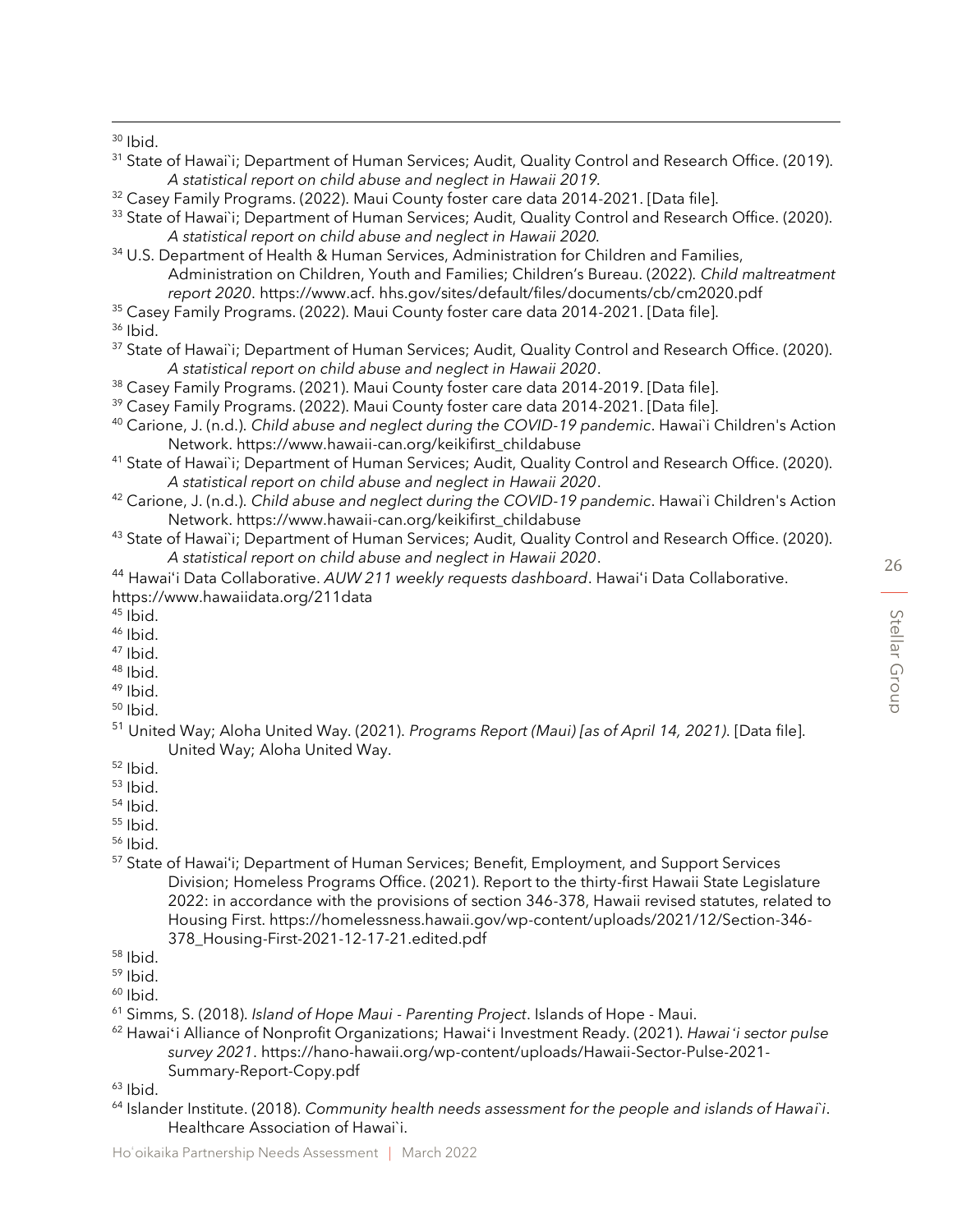$30$  Ibid.

- 31 State of Hawai`i; Department of Human Services; Audit, Quality Control and Research Office. (2019). *A statistical report on child abuse and neglect in Hawaii 2019.*
- <sup>32</sup> Casey Family Programs. (2022). Maui County foster care data 2014-2021. [Data file].
- <sup>33</sup> State of Hawai`i; Department of Human Services; Audit, Quality Control and Research Office. (2020). *A statistical report on child abuse and neglect in Hawaii 2020.*
- <sup>34</sup> U.S. Department of Health & Human Services, Administration for Children and Families, Administration on Children, Youth and Families; Children's Bureau. (2022). *Child maltreatment report 2020*. https://www.acf. hhs.gov/sites/default/files/documents/cb/cm2020.pdf
- <sup>35</sup> Casey Family Programs. (2022). Maui County foster care data 2014-2021. [Data file].
- $36$  Ibid.
- <sup>37</sup> State of Hawai`i; Department of Human Services; Audit, Quality Control and Research Office. (2020). *A statistical report on child abuse and neglect in Hawaii 2020*.
- <sup>38</sup> Casey Family Programs. (2021). Maui County foster care data 2014-2019. [Data file].
- <sup>39</sup> Casey Family Programs. (2022). Maui County foster care data 2014-2021. [Data file].
- <sup>40</sup> Carione, J. (n.d.). *Child abuse and neglect during the COVID-19 pandemic*. Hawai`i Children's Action Network. https://www.hawaii-can.org/keikifirst\_childabuse
- <sup>41</sup> State of Hawai`i; Department of Human Services; Audit, Quality Control and Research Office. (2020). *A statistical report on child abuse and neglect in Hawaii 2020*.
- <sup>42</sup> Carione, J. (n.d.). *Child abuse and neglect during the COVID-19 pandemic*. Hawai`i Children's Action Network. https://www.hawaii-can.org/keikifirst\_childabuse
- 43 State of Hawai`i; Department of Human Services; Audit, Quality Control and Research Office. (2020). *A statistical report on child abuse and neglect in Hawaii 2020*.

<sup>44</sup> Hawaiʻi Data Collaborative. *AUW 211 weekly requests dashboard*. Hawaiʻi Data Collaborative. https://www.hawaiidata.org/211data

- $45$  Ibid.
- $46$  Ibid.
- $47$  Ibid.
- $48$  Ibid.  $49$  Ibid.
- $50$  Ibid.
- 
- <sup>51</sup> United Way; Aloha United Way. (2021). *Programs Report (Maui) [as of April 14, 2021)*. [Data file]. United Way; Aloha United Way.
- <sup>52</sup> Ibid.
- <sup>53</sup> Ibid.
- $54$  Ibid.
- $55$  Ibid.
- <sup>56</sup> Ibid.
- <sup>57</sup> State of Hawaiʻi; Department of Human Services; Benefit, Employment, and Support Services Division; Homeless Programs Office. (2021). Report to the thirty-first Hawaii State Legislature 2022: in accordance with the provisions of section 346-378, Hawaii revised statutes, related to Housing First. https://homelessness.hawaii.gov/wp-content/uploads/2021/12/Section-346- 378\_Housing-First-2021-12-17-21.edited.pdf

- $59$  Ibid.
- $60$  Ibid.
- <sup>61</sup> Simms, S. (2018). *Island of Hope Maui - Parenting Project*. Islands of Hope Maui.
- <sup>62</sup> Hawaiʻi Alliance of Nonprofit Organizations; Hawaiʻi Investment Ready. (2021). *Hawaiʻi sector pulse survey 2021*. https://hano-hawaii.org/wp-content/uploads/Hawaii-Sector-Pulse-2021- Summary-Report-Copy.pdf

 $63$  Ibid.

<sup>64</sup> Islander Institute. (2018). *Community health needs assessment for the people and islands of Hawai*`*i*. Healthcare Association of Hawai`i.

 $58$  Ibid.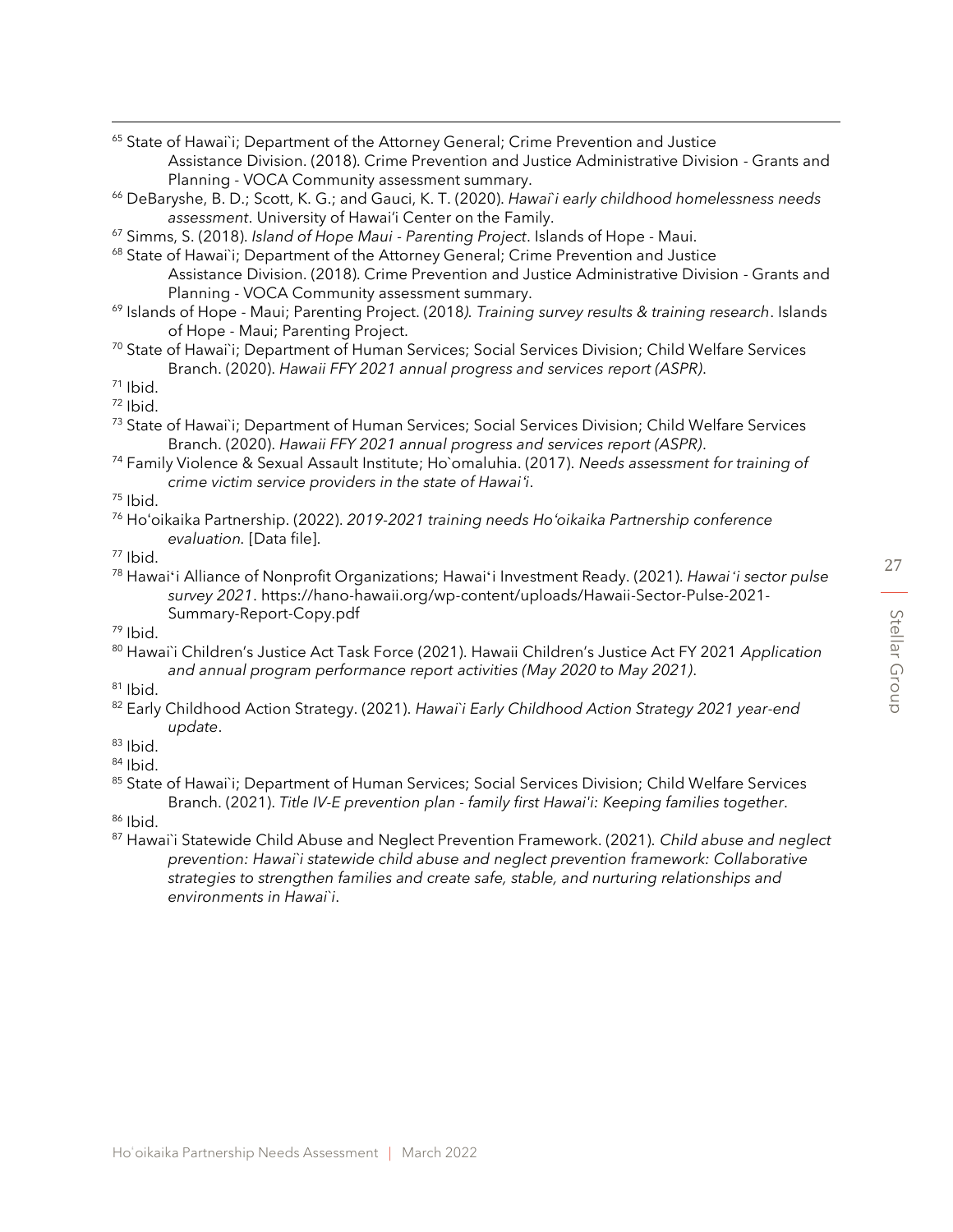<sup>65</sup> State of Hawai`i; Department of the Attorney General; Crime Prevention and Justice Assistance Division. (2018). Crime Prevention and Justice Administrative Division - Grants and Planning - VOCA Community assessment summary.

- <sup>66</sup> DeBaryshe, B. D.; Scott, K. G.; and Gauci, K. T. (2020). *Hawai*`*i early childhood homelessness needs assessment*. University of Hawai'i Center on the Family.
- <sup>67</sup> Simms, S. (2018). *Island of Hope Maui - Parenting Project*. Islands of Hope Maui.
- <sup>68</sup> State of Hawai'i; Department of the Attorney General; Crime Prevention and Justice Assistance Division. (2018). Crime Prevention and Justice Administrative Division - Grants and Planning - VOCA Community assessment summary.
- <sup>69</sup> Islands of Hope Maui; Parenting Project. (2018*). Training survey results & training research*. Islands of Hope - Maui; Parenting Project.
- <sup>70</sup> State of Hawai`i; Department of Human Services; Social Services Division; Child Welfare Services Branch. (2020). *Hawaii FFY 2021 annual progress and services report (ASPR)*.

 $71$  Ibid.

- $72$  Ibid.
- <sup>73</sup> State of Hawai`i; Department of Human Services; Social Services Division; Child Welfare Services Branch. (2020). *Hawaii FFY 2021 annual progress and services report (ASPR)*.
- <sup>74</sup> Family Violence & Sexual Assault Institute; Ho`omaluhia. (2017). *Needs assessment for training of crime victim service providers in the state of Hawaiʻi*.

- <sup>76</sup> Hoʻoikaika Partnership. (2022). *2019-2021 training needs Hoʻoikaika Partnership conference evaluation.* [Data file].
- <sup>77</sup> Ibid.
- <sup>78</sup> Hawaiʻi Alliance of Nonprofit Organizations; Hawaiʻi Investment Ready. (2021). *Hawaiʻi sector pulse survey 2021*. https://hano-hawaii.org/wp-content/uploads/Hawaii-Sector-Pulse-2021- Summary-Report-Copy.pdf
- <sup>79</sup> Ibid.
- <sup>80</sup> Hawai`i Children's Justice Act Task Force (2021). Hawaii Children's Justice Act FY 2021 *Application and annual program performance report activities (May 2020 to May 2021)*.
- $81$  Ibid.
- <sup>82</sup> Early Childhood Action Strategy. (2021). *Hawai`i Early Childhood Action Strategy 2021 year-end update*.
- <sup>83</sup> Ibid.
- $84$  Ibid.
- 85 State of Hawai`i; Department of Human Services; Social Services Division; Child Welfare Services Branch. (2021). *Title IV-E prevention plan - family first Hawai'i: Keeping families together*.

<sup>86</sup> Ibid.

<sup>87</sup> Hawai`i Statewide Child Abuse and Neglect Prevention Framework. (2021). *Child abuse and neglect prevention: Hawai`i statewide child abuse and neglect prevention framework: Collaborative strategies to strengthen families and create safe, stable, and nurturing relationships and environments in Hawai`i*.

<sup>75</sup> Ibid.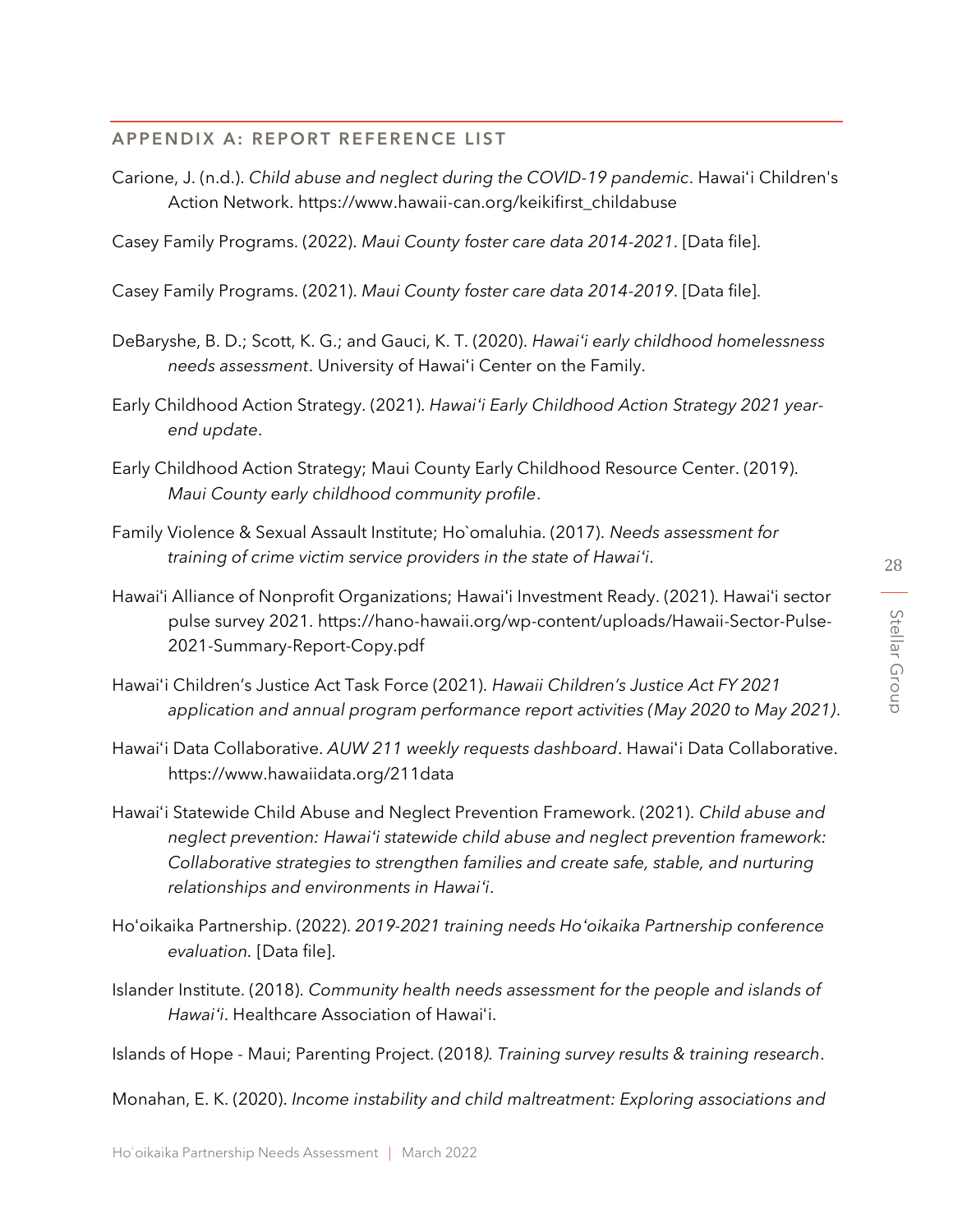#### APPENDIX A: REPORT REFERENCE LIST

Carione, J. (n.d.). *Child abuse and neglect during the COVID-19 pandemic*. Hawaiʻi Children's Action Network. https://www.hawaii-can.org/keikifirst\_childabuse

Casey Family Programs. (2022). *Maui County foster care data 2014-2021*. [Data file].

Casey Family Programs. (2021). *Maui County foster care data 2014-2019*. [Data file].

- DeBaryshe, B. D.; Scott, K. G.; and Gauci, K. T. (2020). *Hawaiʻi early childhood homelessness needs assessment*. University of Hawaiʻi Center on the Family.
- Early Childhood Action Strategy. (2021). *Hawaiʻi Early Childhood Action Strategy 2021 yearend update*.
- Early Childhood Action Strategy; Maui County Early Childhood Resource Center. (2019). *Maui County early childhood community profile*.
- Family Violence & Sexual Assault Institute; Ho`omaluhia. (2017). *Needs assessment for training of crime victim service providers in the state of Hawaiʻi*.
- Hawaiʻi Alliance of Nonprofit Organizations; Hawaiʻi Investment Ready. (2021). Hawaiʻi sector pulse survey 2021. https://hano-hawaii.org/wp-content/uploads/Hawaii-Sector-Pulse-2021-Summary-Report-Copy.pdf
- Hawaiʻi Children's Justice Act Task Force (2021). *Hawaii Children's Justice Act FY 2021 application and annual program performance report activities (May 2020 to May 2021)*.
- Hawaiʻi Data Collaborative. *AUW 211 weekly requests dashboard*. Hawaiʻi Data Collaborative. https://www.hawaiidata.org/211data
- Hawaiʻi Statewide Child Abuse and Neglect Prevention Framework. (2021). *Child abuse and neglect prevention: Hawaiʻi statewide child abuse and neglect prevention framework: Collaborative strategies to strengthen families and create safe, stable, and nurturing relationships and environments in Hawaiʻi*.
- Hoʻoikaika Partnership. (2022). *2019-2021 training needs Hoʻoikaika Partnership conference evaluation.* [Data file].
- Islander Institute. (2018). *Community health needs assessment for the people and islands of Hawaiʻi*. Healthcare Association of Hawaiʻi.

Islands of Hope - Maui; Parenting Project. (2018*). Training survey results & training research*.

Monahan, E. K. (2020). *Income instability and child maltreatment: Exploring associations and*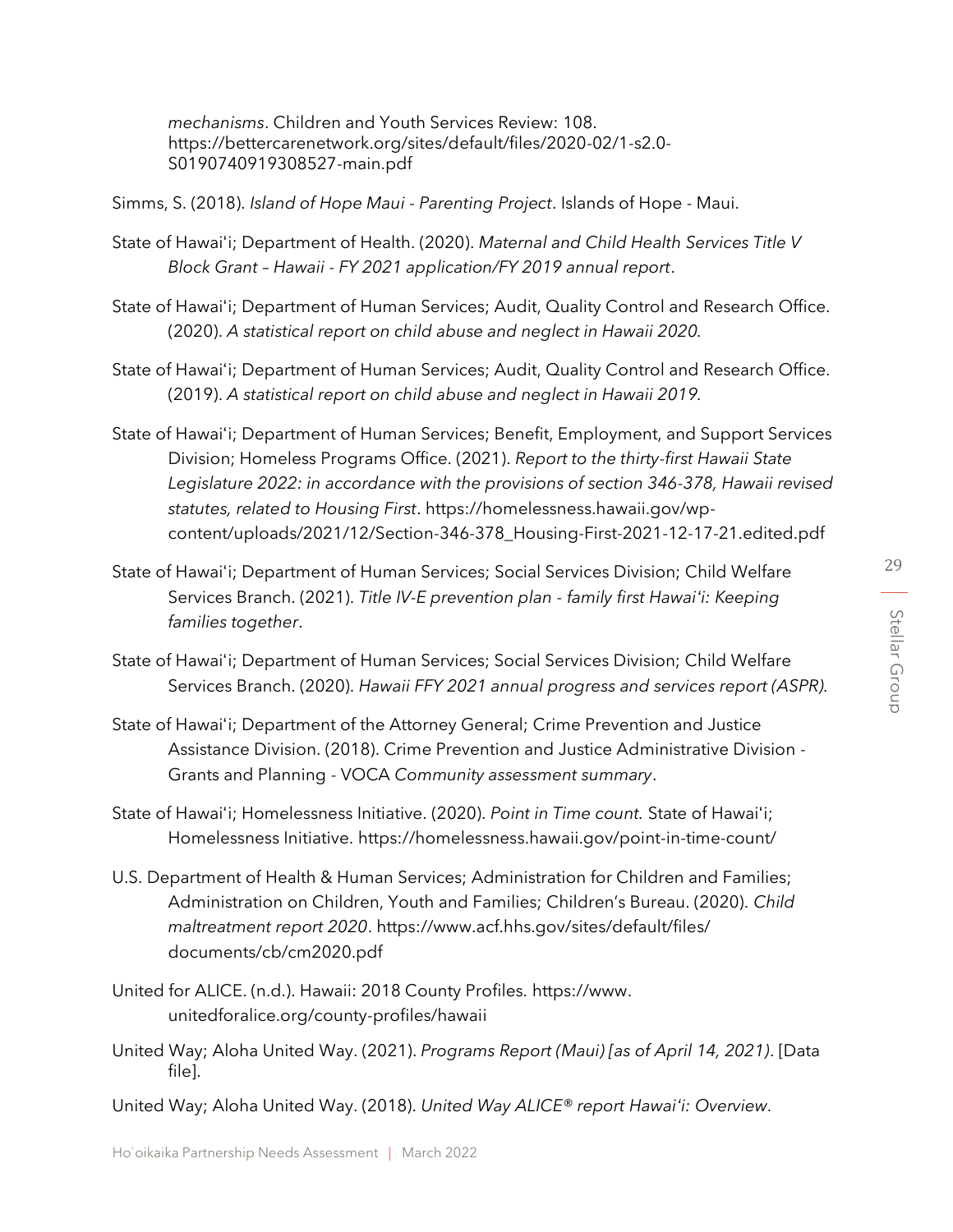*mechanisms*. Children and Youth Services Review: 108. https://bettercarenetwork.org/sites/default/files/2020-02/1-s2.0- S0190740919308527-main.pdf

Simms, S. (2018). *Island of Hope Maui - Parenting Project*. Islands of Hope - Maui.

- State of Hawaiʻi; Department of Health. (2020). *Maternal and Child Health Services Title V Block Grant – Hawaii - FY 2021 application/FY 2019 annual report*.
- State of Hawaiʻi; Department of Human Services; Audit, Quality Control and Research Office. (2020). *A statistical report on child abuse and neglect in Hawaii 2020.*
- State of Hawaiʻi; Department of Human Services; Audit, Quality Control and Research Office. (2019). *A statistical report on child abuse and neglect in Hawaii 2019.*
- State of Hawaiʻi; Department of Human Services; Benefit, Employment, and Support Services Division; Homeless Programs Office. (2021). *Report to the thirty-first Hawaii State Legislature 2022: in accordance with the provisions of section 346-378, Hawaii revised statutes, related to Housing First*. https://homelessness.hawaii.gov/wpcontent/uploads/2021/12/Section-346-378\_Housing-First-2021-12-17-21.edited.pdf
- State of Hawaiʻi; Department of Human Services; Social Services Division; Child Welfare Services Branch. (2021). *Title IV-E prevention plan - family first Hawaiʻi: Keeping families together*.
- State of Hawaiʻi; Department of Human Services; Social Services Division; Child Welfare Services Branch. (2020). *Hawaii FFY 2021 annual progress and services report (ASPR).*
- State of Hawaiʻi; Department of the Attorney General; Crime Prevention and Justice Assistance Division. (2018). Crime Prevention and Justice Administrative Division - Grants and Planning - VOCA *Community assessment summary*.
- State of Hawaiʻi; Homelessness Initiative. (2020). *Point in Time count.* State of Hawaiʻi; Homelessness Initiative. https://homelessness.hawaii.gov/point-in-time-count/
- U.S. Department of Health & Human Services; Administration for Children and Families; Administration on Children, Youth and Families; Children's Bureau. (2020). *Child maltreatment report 2020*. https://www.acf.hhs.gov/sites/default/files/ documents/cb/cm2020.pdf
- United for ALICE. (n.d.). Hawaii: 2018 County Profiles. https://www. unitedforalice.org/county-profiles/hawaii
- United Way; Aloha United Way. (2021). *Programs Report (Maui) [as of April 14, 2021)*. [Data file].

United Way; Aloha United Way. (2018). *United Way ALICE® report Hawaiʻi: Overview*.